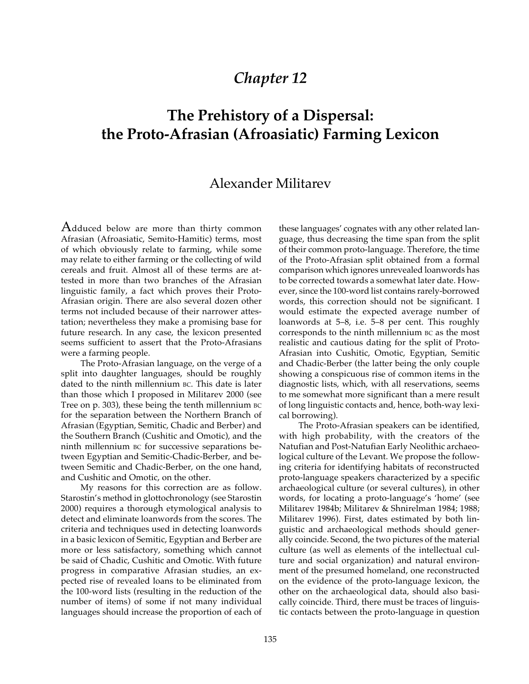# *Chapter 12*

# **The Prehistory of a Dispersal: the Proto-Afrasian (Afroasiatic) Farming Lexicon**

# Alexander Militarev

Adduced below are more than thirty common Afrasian (Afroasiatic, Semito-Hamitic) terms, most of which obviously relate to farming, while some may relate to either farming or the collecting of wild cereals and fruit. Almost all of these terms are attested in more than two branches of the Afrasian linguistic family, a fact which proves their Proto-Afrasian origin. There are also several dozen other terms not included because of their narrower attestation; nevertheless they make a promising base for future research. In any case, the lexicon presented seems sufficient to assert that the Proto-Afrasians were a farming people.

The Proto-Afrasian language, on the verge of a split into daughter languages, should be roughly dated to the ninth millennium BC. This date is later than those which I proposed in Militarev 2000 (see Tree on p. 303), these being the tenth millennium BC for the separation between the Northern Branch of Afrasian (Egyptian, Semitic, Chadic and Berber) and the Southern Branch (Cushitic and Omotic), and the ninth millennium BC for successive separations between Egyptian and Semitic-Chadic-Berber, and between Semitic and Chadic-Berber, on the one hand, and Cushitic and Omotic, on the other.

My reasons for this correction are as follow. Starostin's method in glottochronology (see Starostin 2000) requires a thorough etymological analysis to detect and eliminate loanwords from the scores. The criteria and techniques used in detecting loanwords in a basic lexicon of Semitic, Egyptian and Berber are more or less satisfactory, something which cannot be said of Chadic, Cushitic and Omotic. With future progress in comparative Afrasian studies, an expected rise of revealed loans to be eliminated from the 100-word lists (resulting in the reduction of the number of items) of some if not many individual languages should increase the proportion of each of these languages' cognates with any other related language, thus decreasing the time span from the split of their common proto-language. Therefore, the time of the Proto-Afrasian split obtained from a formal comparison which ignores unrevealed loanwords has to be corrected towards a somewhat later date. However, since the 100-word list contains rarely-borrowed words, this correction should not be significant. I would estimate the expected average number of loanwords at 5–8, i.e. 5–8 per cent. This roughly corresponds to the ninth millennium BC as the most realistic and cautious dating for the split of Proto-Afrasian into Cushitic, Omotic, Egyptian, Semitic and Chadic-Berber (the latter being the only couple showing a conspicuous rise of common items in the diagnostic lists, which, with all reservations, seems to me somewhat more significant than a mere result of long linguistic contacts and, hence, both-way lexical borrowing).

The Proto-Afrasian speakers can be identified, with high probability, with the creators of the Natufian and Post-Natufian Early Neolithic archaeological culture of the Levant. We propose the following criteria for identifying habitats of reconstructed proto-language speakers characterized by a specific archaeological culture (or several cultures), in other words, for locating a proto-language's 'home' (see Militarev 1984b; Militarev & Shnirelman 1984; 1988; Militarev 1996). First, dates estimated by both linguistic and archaeological methods should generally coincide. Second, the two pictures of the material culture (as well as elements of the intellectual culture and social organization) and natural environment of the presumed homeland, one reconstructed on the evidence of the proto-language lexicon, the other on the archaeological data, should also basically coincide. Third, there must be traces of linguistic contacts between the proto-language in question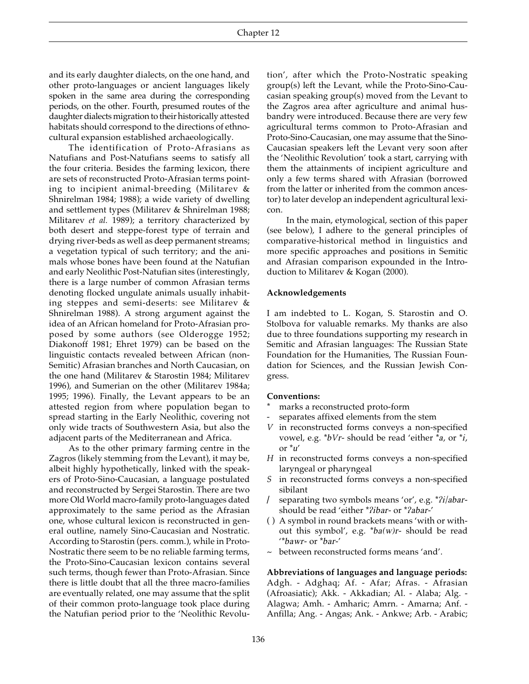and its early daughter dialects, on the one hand, and other proto-languages or ancient languages likely spoken in the same area during the corresponding periods, on the other. Fourth, presumed routes of the daughter dialects migration to their historically attested habitats should correspond to the directions of ethnocultural expansion established archaeologically.

The identification of Proto-Afrasians as Natufians and Post-Natufians seems to satisfy all the four criteria. Besides the farming lexicon, there are sets of reconstructed Proto-Afrasian terms pointing to incipient animal-breeding (Militarev & Shnirelman 1984; 1988); a wide variety of dwelling and settlement types (Militarev & Shnirelman 1988; Militarev *et al.* 1989); a territory characterized by both desert and steppe-forest type of terrain and drying river-beds as well as deep permanent streams; a vegetation typical of such territory; and the animals whose bones have been found at the Natufian and early Neolithic Post-Natufian sites (interestingly, there is a large number of common Afrasian terms denoting flocked ungulate animals usually inhabiting steppes and semi-deserts: see Militarev & Shnirelman 1988). A strong argument against the idea of an African homeland for Proto-Afrasian proposed by some authors (see Olderogge 1952; Diakonoff 1981; Ehret 1979) can be based on the linguistic contacts revealed between African (non-Semitic) Afrasian branches and North Caucasian, on the one hand (Militarev & Starostin 1984; Militarev 1996), and Sumerian on the other (Militarev 1984a; 1995; 1996). Finally, the Levant appears to be an attested region from where population began to spread starting in the Early Neolithic, covering not only wide tracts of Southwestern Asia, but also the adjacent parts of the Mediterranean and Africa.

As to the other primary farming centre in the Zagros (likely stemming from the Levant), it may be, albeit highly hypothetically, linked with the speakers of Proto-Sino-Caucasian, a language postulated and reconstructed by Sergei Starostin. There are two more Old World macro-family proto-languages dated approximately to the same period as the Afrasian one, whose cultural lexicon is reconstructed in general outline, namely Sino-Caucasian and Nostratic. According to Starostin (pers. comm.), while in Proto-Nostratic there seem to be no reliable farming terms, the Proto-Sino-Caucasian lexicon contains several such terms, though fewer than Proto-Afrasian. Since there is little doubt that all the three macro-families are eventually related, one may assume that the split of their common proto-language took place during the Natufian period prior to the 'Neolithic Revolution', after which the Proto-Nostratic speaking group(s) left the Levant, while the Proto-Sino-Caucasian speaking group(s) moved from the Levant to the Zagros area after agriculture and animal husbandry were introduced. Because there are very few agricultural terms common to Proto-Afrasian and Proto-Sino-Caucasian, one may assume that the Sino-Caucasian speakers left the Levant very soon after the 'Neolithic Revolution' took a start, carrying with them the attainments of incipient agriculture and only a few terms shared with Afrasian (borrowed from the latter or inherited from the common ancestor) to later develop an independent agricultural lexicon.

In the main, etymological, section of this paper (see below), I adhere to the general principles of comparative-historical method in linguistics and more specific approaches and positions in Semitic and Afrasian comparison expounded in the Introduction to Militarev & Kogan (2000).

#### **Acknowledgements**

I am indebted to L. Kogan, S. Starostin and O. Stolbova for valuable remarks. My thanks are also due to three foundations supporting my research in Semitic and Afrasian languages: The Russian State Foundation for the Humanities, The Russian Foundation for Sciences, and the Russian Jewish Congress.

#### **Conventions:**

- marks a reconstructed proto-form
- *-* separates affixed elements from the stem
- *V* in reconstructed forms conveys a non-specified vowel, e.g. \**bVr*- should be read 'either \**a*, or \**i*, or \**u*'
- *H* in reconstructed forms conveys a non-specified laryngeal or pharyngeal
- *S* in reconstructed forms conveys a non-specified sibilant
- **/** separating two symbols means 'or', e.g. \**/i/abar*should be read 'either \**/ibar-* or \**/abar*-'
- ( ) A symbol in round brackets means 'with or without this symbol', e.g. \**ba(w)r*- should be read '\**bawr-* or \**bar-*'
- ~ between reconstructed forms means 'and'.

**Abbreviations of languages and language periods:** Adgh. - Adghaq; Af. - Afar; Afras. - Afrasian (Afroasiatic); Akk. - Akkadian; Al. - Alaba; Alg. - Alagwa; Amh. - Amharic; Amrn. - Amarna; Anf. - Anfilla; Ang. - Angas; Ank. - Ankwe; Arb. - Arabic;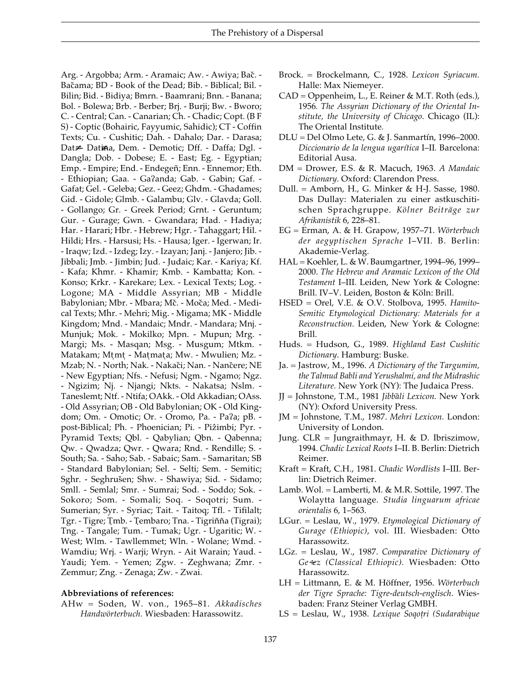Arg. - Argobba; Arm. - Aramaic; Aw. - Awiya; Bač. -Bačama; BD - Book of the Dead; Bib. - Biblical; Bil. -Bilin; Bid. - Bidiya; Bmrn. - Baamrani; Bnn. - Banana; Bol. - Bolewa; Brb. - Berber; Brj. - Burji; Bw. - Bworo; C. - Central; Can. - Canarian; Ch. - Chadic; Copt. (B F S) - Coptic (Bohairic, Fayyumic, Sahidic); CT - Coffin Texts; Cu. - Cushitic; Dah. - Dahalo; Dar. - Darasa; Dat≠- Datina, Dem. - Demotic; Dff. - Daffa; Dgl. -Dangla; Dob. - Dobese; E. - East; Eg. - Egyptian; Emp. - Empire; End. - Endegen); Enn. - Ennemor; Eth. - Ethiopian; Gaa. - Ga/anda; Gab. - Gabin; Gaf. - Gafat; Gel. - Geleba; Gez. - Geez; Ghdm. - Ghadames; Gid. - Gidole; Glmb. - Galambu; Glv. - Glavda; Goll. - Gollango; Gr. - Greek Period; Grnt. - Geruntum; Gur. - Gurage; Gwn. - Gwandara; Had. - Hadiya; Har. - Harari; Hbr. - Hebrew; Hgr. - Tahaggart; Hil. - Hildi; Hrs. - Harsusi; Hs. - Hausa; Iger. - Igerwan; Ir. - Iraqw; Izd. - Izdeg; Izy. - Izayan; Janj. - Janjero; Jib. - Jibbali; Jmb. - Jimbin; Jud. - Judaic; Kar. - Kariya; Kf. - Kafa; Khmr. - Khamir; Kmb. - Kambatta; Kon. - Konso; Krkr. - Karekare; Lex. - Lexical Texts; Log. - Logone; MA - Middle Assyrian; MB - Middle Babylonian; Mbr. - Mbara; Mč. - Moča; Med. - Medical Texts; Mhr. - Mehri; Mig. - Migama; MK - Middle Kingdom; Mnd. - Mandaic; Mndr. - Mandara; Mnj. - Munjuk; Mok. - Mokilko; Mpn. - Mupun; Mrg. - Margi; Ms. - Masqan; Msg. - Musgum; Mtkm. - Matakam; Mtmt - Matmata; Mw. - Mwulien; Mz. -Mzab; N. - North; Nak. - Nakači; Nan. - Nančere; NE - New Egyptian; Nfs. - Nefusi; Ngm. - Ngamo; Ngz. - Ngizim; Nj. - Njangi; Nkts. - Nakatsa; Nslm. - Taneslemt; Ntf. - Ntifa; OAkk. - Old Akkadian; OAss. - Old Assyrian; OB - Old Babylonian; OK - Old Kingdom; Om. - Omotic; Or. - Oromo, Pa. - Pa/a; pB. post-Biblical; Ph. - Phoenician; Pi. - Pizimbi; Pyr. -Pyramid Texts; Qbl. - Qabylian; Qbn. - Qabenna; Qw. - Qwadza; Qwr. - Qwara; Rnd. - Rendille; S. - South; Sa. - Saho; Sab. - Sabaic; Sam. - Samaritan; SB - Standard Babylonian; Sel. - Selti; Sem. - Semitic; Sghr. - Seghrušen; Shw. - Shawiya; Sid. - Sidamo; Smll. - Semlal; Smr. - Sumrai; Sod. - Soddo; Sok. - Sokoro; Som. - Somali; Soq. - Soqotri; Sum. - Sumerian; Syr. - Syriac; Tait. - Taitoq; Tfl. - Tifilalt; Tgr. - Tigre; Tmb. - Tembaro; Tna. - Tigriñña (Tigrai); Tng. - Tangale; Tum. - Tumak; Ugr. - Ugaritic; W. - West; Wlm. - Tawllemmet; Wln. - Wolane; Wmd. - Wamdiu; Wrj. - Warji; Wryn. - Ait Warain; Yaud. - Yaudi; Yem. - Yemen; Zgw. - Zeghwana; Zmr. - Zemmur; Zng. - Zenaga; Zw. - Zwai.

#### **Abbreviations of references:**

AHw = Soden, W. von., 1965–81. *Akkadisches Handwörterbuch.* Wiesbaden: Harassowitz.

- Brock. = Brockelmann, C., 1928. *Lexicon Syriacum.* Halle: Max Niemeyer.
- CAD = Oppenheim, L., E. Reiner & M.T. Roth (eds.), 1956*. The Assyrian Dictionary of the Oriental Institute, the University of Chicago*. Chicago (IL): The Oriental Institute*.*
- DLU = Del Olmo Lete, G. & J. Sanmartín, 1996–2000. *Diccionario de la lengua ugarítica* I–II*.* Barcelona: Editorial Ausa.
- DM = Drower, E.S. & R. Macuch, 1963. *A Mandaic Dictionary.* Oxford: Clarendon Press.
- Dull. = Amborn, H., G. Minker & H-J. Sasse, 1980. Das Dullay: Materialen zu einer astkuschitischen Sprachgruppe. *Kölner Beiträge zur Afrikanistik* 6, 228–81.
- EG = Erman, A. & H. Grapow, 1957–71. *Wörterbuch der aegyptischen Sprache* I–VII. B. Berlin: Akademie-Verlag.
- HAL = Koehler, L. & W. Baumgartner, 1994–96, 1999– 2000. *The Hebrew and Aramaic Lexicon of the Old Testament* I–III*.* Leiden, New York & Cologne: Brill. IV–V. Leiden, Boston & Köln: Brill.
- HSED = Orel, V.E. & O.V. Stolbova, 1995. *Hamito-Semitic Etymological Dictionary: Materials for a Reconstruction.* Leiden, New York & Cologne: Brill.
- Huds. = Hudson, G., 1989. *Highland East Cushitic Dictionary*. Hamburg: Buske.
- Ja. = Jastrow, M., 1996. *A Dictionary of the Targumim, the Talmud Babli and Yerushalmi, and the Midrashic Literature.* New York (NY): The Judaica Press.
- JJ = Johnstone, T.M., 1981 *Jibba#li Lexicon.* New York (NY): Oxford University Press.
- JM = Johnstone, T.M., 1987. *Mehri Lexicon.* London: University of London.
- Jung. CLR = Jungraithmayr, H. & D. Ibriszimow, 1994. *Chadic Lexical Roots* I–II. B. Berlin: Dietrich Reimer.
- Kraft = Kraft, C.H., 1981. *Chadic Wordlists* I–III. Berlin: Dietrich Reimer.
- Lamb. Wol. = Lamberti, M. & M.R. Sottile, 1997. The Wolaytta language. *Studia linguarum africae orientalis* 6, 1–563.
- LGur. = Leslau, W., 1979. *Etymological Dictionary of Gurage (Ethiopic)*, vol. III. Wiesbaden: Otto Harassowitz.
- LGz. = Leslau, W., 1987. *Comparative Dictionary of Ge*÷*ez (Classical Ethiopic).* Wiesbaden: Otto Harassowitz.
- LH = Littmann, E. & M. Höffner, 1956. *Wörterbuch der Tigre Sprache: Tigre-deutsch-englisch*. Wiesbaden: Franz Steiner Verlag GMBH.
- LS = Leslau, W., 1938. Lexique Soqotri (Sudarabique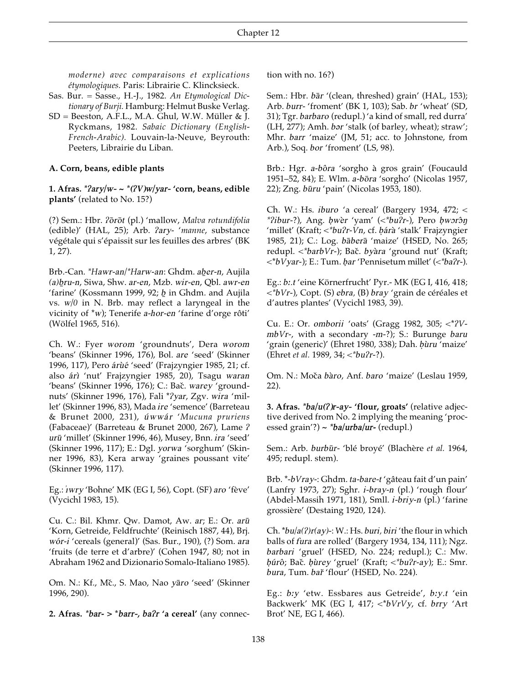*moderne) avec comparaisons et explications étymologiques.* Paris: Librairie C. Klincksieck.

- Sas. Bur. = Sasse., H.-J., 1982. *An Etymological Dictionary of Burji.* Hamburg: Helmut Buske Verlag.
- SD = Beeston, A.F.L., M.A. Ghul, W.W. Müller & J. Ryckmans, 1982. *Sabaic Dictionary (English-French-Arabic).* Louvain-la-Neuve, Beyrouth: Peeters, Librairie du Liban.

#### **A. Corn, beans, edible plants**

**1. Afras.** *\*/ary/w- ~ \*(/V)w/yar-* **'corn, beans, edible plants'** (related to No. 15?)

(?) Sem.: Hbr. */o#ro#t* (pl.) 'mallow, *Malva rotundifolia* (edible)' (HAL, 25); Arb. */ary-* '*manne*, substance végétale qui s'épaissit sur les feuilles des arbres' (BK 1, 27).

Brb.-Can. *\*Hawr-an*/*\*Harw-an*: Ghdm. *aber-n*, Aujila *(a)b=ru-n*, Siwa, Shw. *ar-en*, Mzb. *wir-en*, Qbl. *awr-en* 'farine' (Kossmann 1999, 92; *b=* in Ghdm. and Aujila vs. *w/0* in N. Brb. may reflect a laryngeal in the vicinity of \**w*); Tenerife *a-hor-en* 'farine d'orge rôti' (Wölfel 1965, 516).

Ch. W.: Fyer *worom* 'groundnuts', Dera *worom* 'beans' (Skinner 1996, 176), Bol. *are* 'seed' (Skinner 1996, 117), Pero árùé 'seed' (Frajzyngier 1985, 21; cf. also *árì* 'nut' Frajzyngier 1985, 20), Tsagu *waran* 'beans' (Skinner 1996, 176); C.: Bač. *warey* 'groundnuts' (Skinner 1996, 176), Fali \**/yar*, Zgv. *wira* 'millet' (Skinner 1996, 83), Mada *ire* 'semence' (Barreteau & Brunet 2000, 231), *u@wwa@r* '*Mucuna pruriens* (Fabaceae)' (Barreteau & Brunet 2000, 267), Lame */ uru#* 'millet' (Skinner 1996, 46), Musey, Bnn. *ira* 'seed' (Skinner 1996, 117); E.: Dgl. *yorwa* 'sorghum' (Skinner 1996, 83), Kera arway 'graines poussant vite' (Skinner 1996, 117).

Eg.: *" wry* 'Bohne' MK (EG I, 56), Copt. (SF) *aro* 'fève' (Vycichl 1983, 15).

Cu. C.: Bil. Khmr. Qw. Damot, Aw. *ar*; E.: Or. *arū* 'Korn, Getreide, Feldfruchte' (Reinisch 1887, 44), Brj. *wo@r-i* 'cereals (general)' (Sas. Bur., 190), (?) Som. *ara* 'fruits (de terre et d'arbre)' (Cohen 1947, 80; not in Abraham 1962 and Dizionario Somalo-Italiano 1985).

Om. N.: Kf., Mč., S. Mao, Nao yāro 'seed' (Skinner 1996, 290).

**2. Afras.** *\*bar***- > \****barr-, ba/r* **'a cereal'** (any connec-

tion with no. 16?)

Sem.: Hbr. *bār* '(clean, threshed) grain' (HAL, 153); Arb. *burr-* 'froment' (BK 1, 103); Sab. *br* 'wheat' (SD, 31); Tgr. *barbaro* (redupl.) 'a kind of small, red durra' (LH, 277); Amh. *bar* 'stalk (of barley, wheat); straw'; Mhr. *barr* 'maize' (JM, 51; acc. to Johnstone, from Arb.), Soq. *bor* 'froment' (LS, 98).

Brb.: Hgr. *a-bôra* 'sorgho à gros grain' (Foucauld 1951–52, 84); E. Wlm. *a-bora* 'sorgho' (Nicolas 1957, 22); Zng. *būru* 'pain' (Nicolas 1953, 180).

Ch. W.: Hs. *iburo* 'a cereal' (Bargery 1934, 472; < *\*?ibur-?*), Ang. *bwer* 'yam' (<*\*bu?r-*), Pero *bworôn* 'millet' (Kraft; <\*bu?r-Vn, cf. *bárà* 'stalk' Frajzyngier 1985, 21); C.: Log. *bāberā* 'maize' (HSED, No. 265; redupl. <\*barbVr-); Bač. byàra 'ground nut' (Kraft; <\**bVyar*-); E.: Tum. *b. ar* 'Pennisetum millet' (<*\*ba/r-*).

Eg.: *b˘.t* 'eine Körnerfrucht' Pyr.- MK (EG I, 416, 418; <*\*bVr-*), Copt. (S) *ebra,* (B) *bray* 'grain de céréales et d'autres plantes' (Vycichl 1983, 39).

Cu. E.: Or. *omborii* 'oats' (Gragg 1982, 305; <\**/VmbVr*-, with a secondary -*m*-?); S.: Burunge *baru* 'grain (generic)' (Ehret 1980, 338); Dah. *bùru* 'maize' (Ehret *et al.* 1989, 34; <*\*bu/r-*?).

Om. N.: Moča *bàro*, Anf. *baro* 'maize' (Leslau 1959, 22).

**3. Afras.** *\*ba/u(/)r-ay-* **'flour, groats'** (relative adjective derived from No. 2 implying the meaning 'processed grain'?) **~** *\*ba/urba/ur***-** (redupl.)

Sem.: Arb. *burbūr*<sup>-</sup> 'blé broyé' (Blachère et al. 1964, 495; redupl. stem).

Brb. \*-*bVray-*: Ghdm. *ta-bare-t* 'gâteau fait d'un pain' (Lanfry 1973, 27); Sghr. *i-bray-n* (pl.) 'rough flour' (Abdel-Massih 1971, 181), Smll. *i-briy-n* (pl.) 'farine grossière' (Destaing 1920, 124).

Ch.  $*bu/a(?)r(ay)$ -: W.: Hs. *buri*, *biri* 'the flour in which balls of *fura* are rolled' (Bargery 1934, 134, 111); Ngz. *barbari* 'gruel' (HSED, No. 224; redupl.); C.: Mw. *b. u@ro^*; Bac&. *b. u\$rey* 'gruel' (Kraft; <*\*bu/r-ay*); E.: Smr. *bura*, Tum. *bar·* 'flour' (HSED, No. 224).

Eg.: *b˘y* 'etw. Essbares aus Getreide', *b˘y.t* 'ein Backwerk' MK (EG I, 417; <\**bVrVy*, cf. *brry* 'Art Brot' NE, EG I, 466).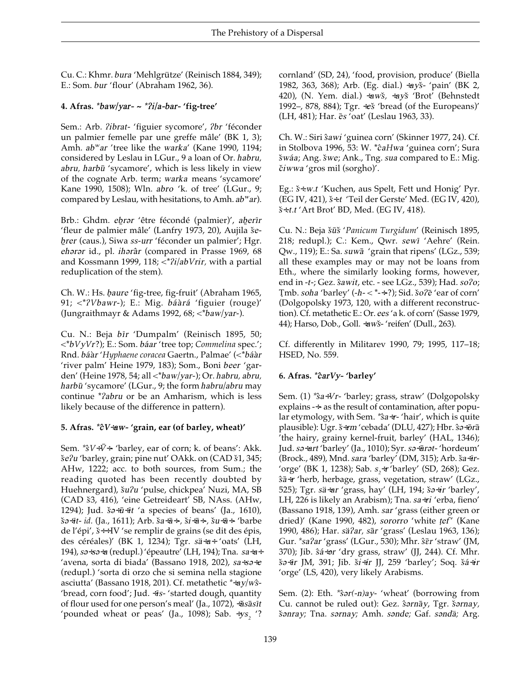Cu. C.: Khmr. bura 'Mehlgrütze' (Reinisch 1884, 349); E.: Som. bur 'flour' (Abraham 1962, 36).

#### 4. Afras. \*baw/yar- ~ \*?i/a-bar- 'fig-tree'

Sem.: Arb. ?ibrat- 'figuier sycomore', ?br 'féconder un palmier femelle par une greffe mâle' (BK 1, 3); Amh. ab<sup>w</sup>ar 'tree like the warka' (Kane 1990, 1194; considered by Leslau in LGur., 9 a loan of Or. habru, abru, harbū 'sycamore', which is less likely in view of the cognate Arb. term; warka means 'sycamore' Kane 1990, 1508); Wln. abro 'k. of tree' (LGur., 9; compared by Leslau, with hesitations, to Amh. ab<sup>w</sup>ar).

Brb.: Ghdm. ebrar 'être fécondé (palmier)', aberir 'fleur de palmier mâle' (Lanfry 1973, 20), Aujila šebrer (caus.), Siwa ss-urr 'féconder un palmier'; Hgr. eharar id., pl. iharâr (compared in Prasse 1969, 68 and Kossmann 1999, 118;  $\langle \nabla^2 u | ab \nabla \nabla u \rangle$  a partial reduplication of the stem).

Ch. W.: Hs. baure 'fig-tree, fig-fruit' (Abraham 1965, 91; <\*?Vbawr-); E.: Mig. báàrá 'figuier (rouge)' (Jungraithmayr & Adams 1992, 68; <\* baw/yar-).

Cu. N.: Beja bīr 'Dumpalm' (Reinisch 1895, 50; <\*bVyVr?); E.: Som. báar 'tree top; Commelina spec.'; Rnd. báàr 'Hyphaene coracea Gaertn., Palmae' (<\*báàr 'river palm' Heine 1979, 183); Som., Boni beer 'garden' (Heine 1978, 54; all <\*baw/yar-); Or. habru, abru, harbū 'sycamore' (LGur., 9; the form habru/abru may continue *\*?abru* or be an Amharism, which is less likely because of the difference in pattern).

## 5. Afras. \* cV÷aw- 'grain, ear (of barley, wheat)'

Sem. \* $\hat{s}V + \bar{V}$  + 'barley, ear of corn; k. of beans': Akk. še?u 'barley, grain; pine nut' OAkk. on (CAD š1, 345; AHw, 1222; acc. to both sources, from Sum.; the reading quoted has been recently doubted by Huehnergard), šu?u 'pulse, chickpea' Nuzi, MA, SB (CAD š3, 416), 'eine Getreideart' SB, NAss. (AHw, 1294); Jud. ša÷ū÷īt 'a species of beans' (Ja., 1610),  $\check{s}$ a÷īt- id. (Ja., 1611); Arb.  $\check{s}$ a÷ $\check{a}$ ÷,  $\check{s}$ i÷ $\check{a}$ ÷,  $\check{s}$ u÷ $\check{a}$ ÷ 'barbe de l'épi',  $\ddot{s} \leftrightarrow$  IV 'se remplir de grains (se dit des épis, des céréales)' (BK 1, 1234); Tgr. sä÷a÷ 'oats' (LH, 194), sa÷sa÷a (redupl.) 'épeautre' (LH, 194); Tna. sa÷a÷ 'avena, sorta di biada' (Bassano 1918, 202), sa÷sa÷e (redupl.) 'sorta di orzo che si semina nella stagione asciutta' (Bassano 1918, 201). Cf. metathetic \*÷ay/wŝ-'bread, corn food'; Jud. +Is-'started dough, quantity of flour used for one person's meal' (Ja., 1072), ÷ăsāsīt 'pounded wheat or peas' (Ja., 1098); Sab.  $\div ys,$  '? cornland' (SD, 24), 'food, provision, produce' (Biella 1982, 363, 368); Arb. (Eg. dial.) ÷ays- 'pain' (BK 2, 420), (N. Yem. dial.) ÷awš, ÷ayš 'Brot' (Behnstedt 1992–, 878, 884); Tgr.  $\div e\check{s}$  'bread (of the Europeans)' (LH, 481); Har.  $\bar{e}s$  'oat' (Leslau 1963, 33).

Ch. W.: Siri sawi 'guinea corn' (Skinner 1977, 24). Cf. in Stolbova 1996, 53: W. \*caHwa 'guinea corn'; Sura šwáa; Ang. šwe; Ank., Tng. sua compared to E.: Mig. čiwwa 'gros mil (sorgho)'.

Eg.: š÷.w.t 'Kuchen, aus Spelt, Fett und Honig' Pyr. (EG IV, 421), š÷.t 'Teil der Gerste' Med. (EG IV, 420), š÷.t.t 'Art Brot' BD, Med. (EG IV, 418).

Cu. N.: Beja šūš 'Panicum Turgidum' (Reinisch 1895, 218; redupl.); C.: Kem., Qwr. sewī 'Aehre' (Rein. Qw., 119); E.: Sa. suwā 'grain that ripens' (LGz., 539; all these examples may or may not be loans from Eth., where the similarly looking forms, however, end in -t-; Gez. sawit, etc. - see LGz., 539); Had. so?o; Tmb. soha 'barley'  $(-h - <^* \rightarrow :$ ?); Sid. šo?ē 'ear of corn' (Dolgopolsky 1973, 120, with a different reconstruction). Cf. metathetic E.: Or. ees 'a k. of corn' (Sasse 1979, 44); Harso, Dob., Goll. +awš- 'reifen' (Dull., 263).

Cf. differently in Militarev 1990, 79; 1995, 117-18; HSED, No. 559.

## 6. Afras. \*carVy- 'barley'

Sem. (1) \*s<sup>a÷Vr-</sup> 'barley; grass, straw' (Dolgopolsky explains  $\div$  as the result of contamination, after popular etymology, with Sem. \* $\hat{s}a \div r$ - 'hair', which is quite plausible): Ugr. š÷rm 'cebada' (DLU, 427); Hbr. ŝa÷ōrā 'the hairy, grainy kernel-fruit, barley' (HAL, 1346); Jud. sa÷art 'barley' (Ja., 1010); Syr. sa÷ārat- 'hordeum' (Brock., 489), Mnd. sara 'barley' (DM, 315); Arb. ša÷īr-'orge' (BK 1, 1238); Sab. s<sub>2</sub>÷r 'barley' (SD, 268); Gez. ŝā-r 'herb, herbage, grass, vegetation, straw' (LGz., 525); Tgr. sä÷ar 'grass, hay' (LH, 194; ša÷ir 'barley', LH, 226 is likely an Arabism); Tna. sa-ri 'erba, fieno' (Bassano 1918, 139), Amh. sar 'grass (either green or dried)' (Kane 1990, 482), sororro 'white tef' (Kane 1990, 486); Har. sä?ar, sār 'grass' (Leslau 1963, 136); Gur. \*sa?ar 'grass' (LGur., 530); Mhr. ser 'straw' (JM, 370); Jib.  $\hat{s}a \div \partial r$  'dry grass, straw' (JJ, 244). Cf. Mhr. ša÷īr JM, 391; Jib. ši÷ír JJ, 259 'barley'; Soq. šá÷ir 'orge' (LS, 420), very likely Arabisms.

Sem. (2): Eth. \*sor(-n)ay- 'wheat' (borrowing from Cu. cannot be ruled out): Gez. sarnāy, Tgr. šarnay, šanray; Tna. sarnay; Amh. sande; Gaf. sandä; Arg.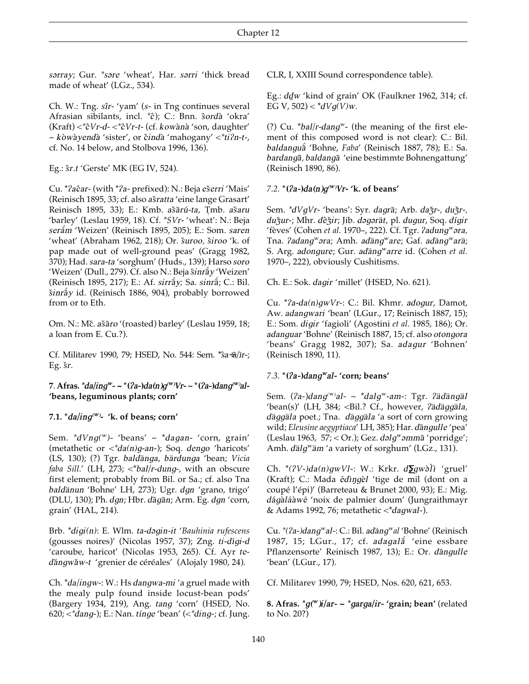sarray; Gur. \*sare 'wheat', Har. sarri 'thick bread made of wheat' (LGz., 534).

Ch. W.: Tng. sîr- 'yam' (s- in Tng continues several Afrasian sibilants, incl. \* c); C.: Bnn. sordà 'okra'  $(Kraft) < *cVr-d-<*cVr-t-$  (cf. kowànà 'son, daughter' ~ kòwàyendà 'sister', or čindà 'mahogany' < \* ti?n-t-, cf. No. 14 below, and Stolbova 1996, 136).

Eg.:  $\zeta r.t$  'Gerste' MK (EG IV, 524).

Cu. \*?aĉar- (with \*?a- prefixed): N.: Beja ešerri 'Mais' (Reinisch 1895, 33; cf. also ašratta 'eine lange Grasart' Reinisch 1895, 33); E.: Kmb. ašārú-ta, Tmb. ašaru 'barley' (Leslau 1959, 18). Cf. \*SVr- 'wheat': N.: Beja serám 'Weizen' (Reinisch 1895, 205); E.: Som. saren 'wheat' (Abraham 1962, 218); Or. šuroo, široo 'k. of pap made out of well-ground peas' (Gragg 1982, 370); Had. sara-ta 'sorghum' (Huds., 139); Harso soro 'Weizen' (Dull., 279). Cf. also N.: Beja š*inrãy* 'Weizen' (Reinisch 1895, 217); E.: Af. sirray; Sa. sinra; C.: Bil. šinráy id. (Reinisch 1886, 904), probably borrowed from or to Eth.

Om. N.: Mč. ašāro '(roasted) barley' (Leslau 1959, 18; a loan from E. Cu.?).

Cf. Militarev 1990, 79; HSED, No. 544: Sem. \*sa-a/ir-; Eg. šr.

7. Afras. \*da/ing<sup>w</sup>- ~ \*(?a-)da(n)g<sup>(w)</sup>Vr- ~ \*(?a-)dang<sup>(w)</sup>al-'beans, leguminous plants; corn'

#### 7.1.  $d\alpha / \text{ind}$  /  $\alpha$  /  $\alpha$  /  $\alpha$  /  $\alpha$  /  $\alpha$  /  $\alpha$  /  $\alpha$  /  $\alpha$  /  $\alpha$  /  $\alpha$  /  $\alpha$  /  $\alpha$  /  $\alpha$  /  $\alpha$  /  $\alpha$  /  $\alpha$  /  $\alpha$  /  $\alpha$  /  $\alpha$  /  $\alpha$  /  $\alpha$  /  $\alpha$  /  $\alpha$  /  $\alpha$  /  $\alpha$  /  $\alpha$  /  $\alpha$  /  $\alpha$  /  $\alpha$  /

Sem.  $dVng(w)$ - 'beans' ~ \*dagan- 'corn, grain' (metathetic or  $\langle \nabla \cdot \nabla \cdot \nabla \cdot \nabla \cdot \nabla \cdot \nabla \cdot \nabla \cdot \nabla \cdot \nabla \cdot \nabla \cdot \nabla \cdot \nabla \cdot \nabla \cdot \nabla \cdot \nabla \cdot \nabla \cdot \nabla \cdot \nabla \cdot \nabla \cdot \nabla \cdot \nabla \cdot \nabla \cdot \nabla \cdot \nabla \cdot \nabla \cdot \nabla \cdot \nabla \cdot \nabla \cdot \nabla \cdot \nabla \cdot \nabla \cdot \nabla \cdot \nabla \cdot \nabla \$ (LS, 130); (?) Tgr. baldänga, bärdunga 'bean; Vicia faba Sill.' (LH, 273; <\*bal/r-dung-, with an obscure first element; probably from Bil. or Sa.; cf. also Tna baldänun 'Bohne' LH, 273); Ugr. dgn 'grano, trigo' (DLU, 130); Ph. dgn; Hbr. dāgān; Arm. Eg. dgn 'corn, grain' (HAL, 214).

Brb. \*digi(n): E. Wlm. ta-dəgin-it 'Bauhinia rufescens (gousses noires)' (Nicolas 1957, 37); Zng. ti-dīgi-d 'caroube, haricot' (Nicolas 1953, 265). Cf. Ayr tedăngwăw-t 'grenier de céréales' (Alojaly 1980, 24).

Ch. \*da/ingw-: W.: Hs dangwa-mi 'a gruel made with the mealy pulp found inside locust-bean pods' (Bargery 1934, 219), Ang. tang 'corn' (HSED, No.  $620$ ;  $\lt^*$ dang-); E.: Nan. tínge 'bean' ( $\lt^*$ ding-; cf. Jung.

CLR, I, XXIII Sound correspondence table).

Eg.: ddw 'kind of grain' OK (Faulkner 1962, 314; cf. EG V, 502) <  $^{*}dVq(V)w$ .

(?) Cu. \*bal/r-dang<sup>w</sup>- (the meaning of the first element of this composed word is not clear): C.: Bil. baldanguá 'Bohne, Faba' (Reinisch 1887, 78); E.: Sa. bardangā, baldangā 'eine bestimmte Bohnengattung' (Reinisch 1890, 86).

#### 7.2. \* ( $2a$ -) $da(n)g^{(w)}Vr$ - 'k. of beans'

Sem. \*dVqVr- 'beans': Syr. dagrā; Arb. dažr-, dužr-, dužur-; Mhr. dêžir; Jib. dəgərät, pl. dugur, Soq. dígir 'fèves' (Cohen et al. 1970–, 222). Cf. Tgr. ?adung<sup>w</sup>ara, Tna. ?adang<sup>w</sup>ara; Amh. adäng<sup>w</sup>are; Gaf. adäng<sup>w</sup>arä; S. Arg. adongure; Gur. adäng<sup>w</sup>arre id. (Cohen et al. 1970–, 222), obviously Cushitisms.

Ch. E.: Sok. *dagir* 'millet' (HSED, No. 621).

Cu. \*?a-da(n)gwVr-: C.: Bil. Khmr. adogur, Damot, Aw. adangwari 'bean' (LGur., 17; Reinisch 1887, 15); E.: Som. digir 'fagioli' (Agostini et al. 1985, 186); Or. adanguar 'Bohne' (Reinisch 1887, 15; cf. also otongora 'beans' Gragg 1982, 307); Sa. adagur 'Bohnen' (Reinisch 1890, 11).

## 7.3. \*(?a-)dang<sup>w</sup>al- 'corn; beans'

Sem.  $(2a-)$ dang<sup>(w)</sup>al- ~ \*dalg<sup>w</sup>-am-: Tgr. ?ädängäl 'bean(s)' (LH, 384; <Bil.? Cf., however, ?ädäggäla, däggäla poet.; Tna. däggäla 'a sort of corn growing wild; Eleusine aegyptiaca' LH, 385); Har. dāngulle 'pea' (Leslau 1963, 57; < Or.); Gez. dəlg<sup>w</sup>əmmā 'porridge'; Amh. dälg<sup>w</sup>äm 'a variety of sorghum' (LGz., 131).

Ch. \*(?V-)da(n)qwVI-: W.: Krkr. d $\sum$ qwəli 'gruel' (Kraft); C.: Mada édingèl 'tige de mil (dont on a coupé l'épi)' (Barreteau & Brunet 2000, 93); E.: Mig. dágàláàwé 'noix de palmier doum' (Jungraithmayr & Adams 1992, 76; metathetic <\* dagwal-).

Cu. \*(?a-)dang<sup>w</sup>al-: C.: Bil. adäng<sup>w</sup>al 'Bohne' (Reinisch 1987, 15; LGur., 17; cf. adagala 'eine essbare Pflanzensorte' Reinisch 1987, 13); E.: Or. dāngulle 'bean' (LGur., 17).

Cf. Militarev 1990, 79; HSED, Nos. 620, 621, 653.

8. Afras. \*  $q^{\text{w}}$  ) j/ar- ~ \* garga/ir- 'grain; bean' (related to  $No. 20$ ?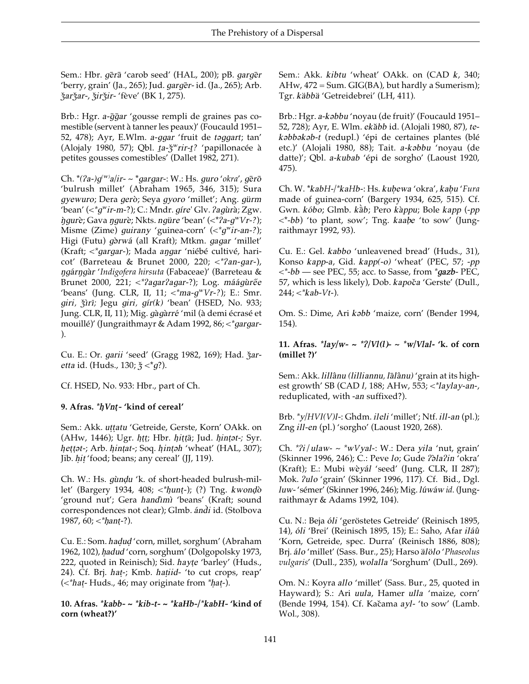Sem.: Hbr. *gera* 'carob seed' (HAL, 200); pB. *garger* 'berry, grain' (Ja., 265); Jud. *garger*-id. (Ja., 265); Arb. *Z&arZ&ar-*, *Z&irZ&ir-* 'fève' (BK 1, 275).

Brb.: Hgr. *a-qqar* 'gousse rempli de graines pas comestible (servent à tanner les peaux)' (Foucauld 1951– 52, 478); Ayr, E.Wlm. *a-qgar* 'fruit de *toggart*; tan' (Alojaly 1980, 57); Qbl. *ta-* $\zeta^w$ rir-*t*? *'* papillonacée à petites gousses comestibles' (Dallet 1982, 271).

Ch. \*(?a-)g<sup>(w)</sup>a/ir- ~ \*gargar-: W.: Hs. guro '*okra', g*ērō 'bulrush millet' (Abraham 1965, 346, 315); Sura *gyewuro*; Dera *gero\$*; Seya *gyoro* 'millet'; Ang. *gu\_rm* 'bean'  $\left\langle \langle \langle \langle \langle \langle \langle \rangle \langle \langle \rangle \langle \langle \rangle \langle \rangle \rangle \rangle \rangle \langle \langle \langle \rangle \langle \rangle \rangle \langle \langle \langle \rangle \rangle \langle \langle \rangle \langle \rangle \langle \rangle \langle \langle \rangle \langle \rangle \langle \rangle \langle \langle \rangle \langle \rangle \langle \langle \langle \rangle \langle \rangle \langle \langle \rangle \langle \rangle \langle \langle \rangle \langle \langle \rangle \langle \rangle \langle \rangle \langle \rangle \langle \rangle \langle \rangle \langle \rangle \langle \rangle \langle \rangle \langle \rangle \langle \rangle \langle \rangle \langle \rangle \langle \rangle \langle \rangle \langle \rangle \langle \rangle \langle \rangle \langle \rangle \langle \rangle \$ *ngure*; Gava *ngure*; Nkts. *ngure* 'bean' (<\*?a-*q*<sup>w</sup>Vr-?); Misme (Zime) *guirany* 'guinea-corn' (<*\*gWir-an-?*); Higi (Futu) *g`orwá* (all Kraft); Mtkm. *gagar* 'millet' (Kraft; <\* *gargar*-); Mada *angar* 'niébé cultivé, haricot' (Barreteau & Brunet 2000, 220; <*\*/an-gar-*), *Nga@rNga\$r* '*Indigofera hirsuta* (Fabaceae)' (Barreteau & Brunet 2000, 221; <\*?agar?agar<sup>2</sup>); Log. *máágùrée* 'beans' (Jung. CLR, II, 11; <*\*ma-gWVr-?*); E.: Smr. *giri, Z&"›r"‹;* Jegu *giri, g"¤r(k)* 'bean' (HSED, No. 933; Jung. CLR, II, 11); Mig. *gàgàrré* 'mil (à demi écrasé et mouillé)' (Jungraithmayr & Adam 1992, 86; <*\*gargar-* ).

Cu. E.: Or. *garii* 'seed' (Gragg 1982, 169); Had.  $\zeta$ ar*etta* id. (Huds., 130;  $\xi <^* q$ ?).

Cf. HSED, No. 933: Hbr., part of Ch.

## **9. Afras.** *\*h.Vnt.-* **'kind of cereal'**

Sem.: Akk. *uttatu* 'Getreide, Gerste, Korn' OAkk. on (AHw, 1446); Ugr. *htt;* Hbr. *hitta*; Jud. *hintat-*; Syr. *hettat-*; Arb. *hintat-*; Soq. *hintah* 'wheat' (HAL, 307); Jib. *hit* 'food; beans; any cereal' (JJ, 119).

Ch. W.: Hs. *gùndu* 'k. of short-headed bulrush-millet' (Bargery 1934, 408; <\* *hunt*-); (?) Tng. *kwondo* 'ground nut'; Gera *handimì* 'beans' (Kraft; sound correspondences not clear); Glmb. *ándí* id. (Stolbova 1987, 60; <*\*hant-?*).

Cu. E.: Som. *hadud* 'corn, millet, sorghum' (Abraham 1962, 102), *h.adud* 'corn, sorghum' (Dolgopolsky 1973, 222, quoted in Reinisch); Sid. *hayte* 'barley' (Huds., 24). Cf. Brj. *hat-*; Kmb. *hatiid-* 'to cut crops, reap' (<*\*hat.-* Huds., 46; may originate from *\*h.at.-*).

#### **10. Afras.** *\*kabb- ~ \*kib-t- ~ \*kaHb-/\*kabH-* **'kind of corn (wheat?)'**

Sem.: Akk. *kibtu* 'wheat' OAkk. on (CAD *k*, 340; AHw,  $472 = Sum$ . GIG(BA), but hardly a Sumerism); Tgr. *käbbä* 'Getreidebrei' (LH, 411).

Brb.: Hgr. *a-kəbbu* 'noyau (de fruit)' (Foucauld 1951– 52, 728); Ayr, E. Wlm. *ekăbb* id. (Alojali 1980, 87), te*k´bb´k´b-t* (redupl.) 'épi de certaines plantes (blé etc.)' (Alojali 1980, 88); Tait. *a-k´bbu* 'noyau (de datte)'; Qbl. *a-kubab* 'épi de sorgho' (Laoust 1920, 475).

Ch. W. \**kabH-/\*kaHb-*: Hs. *kub. ewa* 'okra', *kab. u* '*Fura* made of guinea-corn' (Bargery 1934, 625, 515). Cf. Gwn. *ko@bo*; Glmb. *ka# \$ b*; Pero *ka\$ppu*; Bole *kapp* (*-pp* <\**-bb*) 'to plant, sow'; Tng. *kaab. e* 'to sow' (Jungraithmayr 1992, 93).

Cu. E.: Gel. *kabbo* 'unleavened bread' (Huds., 31), Konso *kapp-a*, Gid. *kapp(-o)* 'wheat' (PEC, 57; *-pp <\*-bb* — see PEC, 55; acc. to Sasse, from *\*gazb-* PEC, 57, which is less likely), Dob. *kapoc&a* 'Gerste' (Dull., 244; <*\*kab-Vt-*).

Om. S.: Dime, Ari *k* $əbb$  'maize, corn' (Bender 1994, 154).

**11.** Afras.  $\frac{k}{2}$  /*W*  $\sim \frac{k}{2}$  /*Vl*(*l*)  $\sim \frac{k}{2}$  /*Vlal* - 'k. of corn **(millet ?)'**

Sem.: Akk. *lilla^nu (lilliannu, la#la^nu)* 'grain at its highest growth' SB (CAD *l,* 188; AHw, 553; <*\*laylay-an-*, reduplicated, with *-an* suffixed?).

Brb. *\*y/HVl(V)l-*: Ghdm. *ileli* 'millet'; Ntf. *ill-an* (pl.); Zng *ill-en* (pl.) 'sorgho' (Laoust 1920, 268).

Ch.  $\frac{k}{l}$ *i*/*ulaw-* ~  $\frac{k}{l}$ *wVyal*-: W.: Dera *yila* 'nut, grain' (Skinner 1996, 246); C.: Peve *lo*; Gude */´\$la/in* 'okra' (Kraft); E.: Mubi *wèyál* 'seed' (Jung. CLR, II 287); Mok. */ulo* 'grain' (Skinner 1996, 117). Cf. Bid., Dgl. *luw-'sémer'* (Skinner 1996, 246); Mig. *lúwáw id.* (Jungraithmayr & Adams 1992, 104).

Cu. N.: Beja óli 'geröstetes Getreide' (Reinisch 1895, 14), *óli* 'Brei' (Reinisch 1895, 15); E.: Saho, Afar *iláû* 'Korn, Getreide, spec. Durra' (Reinisch 1886, 808); Brj. *álo* 'millet' (Sass. Bur., 25); Harso *alolo* '*Phaseolus vulgaris*' (Dull., 235), *wolalla* 'Sorghum' (Dull., 269).

Om. N.: Koyra *allo* 'millet' (Sass. Bur., 25, quoted in Hayward); S.: Ari *uula*, Hamer *ulla* 'maize, corn' (Bende 1994, 154). Cf. Kačama *ayl-* 'to sow' (Lamb. Wol., 308).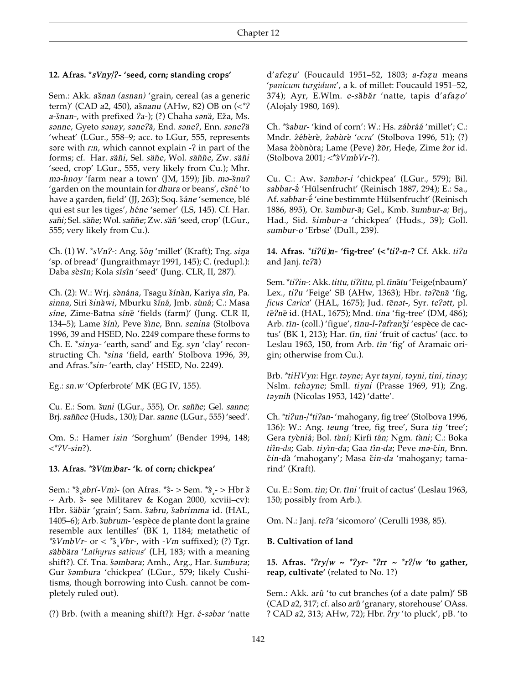#### 12. Afras. \* sVny/?- 'seed, corn; standing crops'

Sem.: Akk. ašnan (asnan) 'grain, cereal (as a generic term)' (CAD a2, 450), ašnanu (AHw, 82) OB on  $\langle \langle \rangle^2$ a-šnan-, with prefixed ?a-); (?) Chaha sanä, Eža, Ms. sanne, Gyeto sanay, sane?ä, End. sane?, Enn. sane?ä 'wheat' (LGur., 558-9; acc. to LGur, 555, represents sare with r:n, which cannot explain -? in part of the forms; cf. Har. säñi, Sel. säñe, Wol. säññe, Zw. säñi 'seed, crop' LGur., 555, very likely from Cu.); Mhr. ma-hnoy 'farm near a town' (JM, 159); Jib. ma-šnu? 'garden on the mountain for dhura or beans', ešné 'to have a garden, field' (JJ, 263); Soq. šáne 'semence, blé qui est sur les tiges', héne 'semer' (LS, 145). Cf. Har. sañi; Sel. säñe; Wol. saññe; Zw. säñ 'seed, crop' (LGur., 555; very likely from Cu.).

Ch. (1) W. \*sVn?-: Ang. šôn 'millet' (Kraft); Tng. sina 'sp. of bread' (Jungraithmayr 1991, 145); C. (redupl.): Daba sèsīn; Kola sísîn 'seed' (Jung. CLR, II, 287).

Ch. (2): W.: Wrj. sənána, Tsagu šínàn, Kariya sîn, Pa. sinna, Siri šinàwi, Mburku šíná, Jmb. sùná; C.: Masa síne, Zime-Batna sínē 'fields (farm)' (Jung. CLR II, 134-5); Lame šínì, Peve šìne, Bnn. senina (Stolbova 1996, 39 and HSED, No. 2249 compare these forms to Ch. E. \*sinya- 'earth, sand' and Eg. syn 'clay' reconstructing Ch. \*sina 'field, earth' Stolbova 1996, 39, and Afras.\*sin-'earth, clay' HSED, No. 2249).

Eg.: sn.w 'Opferbrote' MK (EG IV, 155).

Cu. E.: Som. šuni (LGur., 555), Or. saññe; Gel. sanne; Brj. saññee (Huds., 130); Dar. sanne (LGur., 555) 'seed'.

Om. S.: Hamer isin 'Sorghum' (Bender 1994, 148;  $\langle$ \*?*V*-sin?).

#### 13. Afras. \* y(m)bar-'k. of corn; chickpea'

Sem.:  $*\hat{s}_x$ abr(-Vm)- (on Afras.  $*\hat{s}$ - > Sem.  $*\hat{s}_x$ - > Hbr  $\xi$ ~ Arb. š- see Militarev & Kogan 2000, xcviii-cv): Hbr. šäbär 'grain'; Sam. šabru, šabrimma id. (HAL, 1405–6); Arb. šubrum-'espèce de plante dont la graine resemble aux lentilles' (BK 1, 1184; metathetic of \* $\frac{2}{3}VmbVr$ - or < \* $\frac{2}{3}Vbr$ -, with - $Vm$  suffixed); (?) Tgr. säbbära 'Lathyrus sativus' (LH, 183; with a meaning shift?). Cf. Tna. šəmbəra; Amh., Arg., Har. šumbura; Gur šambura 'chickpea' (LGur., 579; likely Cushitisms, though borrowing into Cush. cannot be completely ruled out).

(?) Brb. (with a meaning shift?): Hgr. é-sabar 'natte

d'afezu' (Foucauld 1951-52, 1803; a-fazu means 'panicum turgidum', a k. of millet: Foucauld 1951-52, 374); Ayr, E.Wlm. e-săbăr 'natte, tapis d'afazo' (Alojaly 1980, 169).

Ch. \*sabur-'kind of corn': W.: Hs. zábráá 'millet'; C.: Mndr.  $\hat{z}$ ébèrè,  $\hat{z}$ əbùrè 'ocra' (Stolbova 1996, 51); (?) Masa  $\hat{z}$ òònòra; Lame (Peve)  $\hat{z}$ ōr, Hede, Zime  $\hat{z}$ or id. (Stolbova 2001;  $\langle$ \* $\hat{s}V$ mbVr-?).

Cu. C.: Aw. šambar-i 'chickpea' (LGur., 579); Bil. sabbar-a 'Hülsenfrucht' (Reinisch 1887, 294); E.: Sa., Af. sabbar-é 'eine bestimmte Hülsenfrucht' (Reinisch 1886, 895), Or. šumbur-ā; Gel., Kmb. šumbur-a; Brj., Had., Sid. šimbur-a 'chickpea' (Huds., 39); Goll. sumbur-o 'Erbse' (Dull., 239).

14. Afras. \*ti?(i)n- 'fig-tree' (<\*ti?-n-? Cf. Akk. ti?u and Janj.  $te2\overline{a}$ )

Sem. \*ti?in -: Akk. tittu, ti?ittu, pl. tīnātu 'Feige(nbaum)' Lex., ti?u 'Feige' SB (AHw, 1363); Hbr. ta?ēnā 'fig, ficus Carica' (HAL, 1675); Jud. tēnat-, Syr. te?att, pl. tē?nē id. (HAL, 1675); Mnd. tina 'fig-tree' (DM, 486); Arb. tīn- (coll.) 'figue', tīnu-l-?afranǯi 'espèce de cactus' (BK 1, 213); Har. tīn, tīni 'fruit of cactus' (acc. to Leslau 1963, 150, from Arb. tīn 'fig' of Aramaic origin; otherwise from Cu.).

Brb. \*tiHVyn: Hgr. tayne; Ayr tayni, tayni, tini, tinay; Nslm. tehayne; Smll. tiyni (Prasse 1969, 91); Zng. taynih (Nicolas 1953, 142) 'datte'.

Ch. \*ti?un-/\*ti?an-'mahogany, fig tree' (Stolbova 1996, 136): W.: Ang. teung 'tree, fig tree', Sura tin 'tree'; Gera tyèniá; Bol. tàní; Kirfi tán; Ngm. tàni; C.: Boka tiîn-da; Gab. tiyìn-da; Gaa tîn-da; Peve ma-čin, Bnn. čin-dà 'mahogany'; Masa čin-da 'mahogany; tamarind' (Kraft).

Cu. E.: Som. tin; Or. tīni 'fruit of cactus' (Leslau 1963, 150; possibly from Arb.).

Om. N.: Janj. te?ā 'sicomoro' (Cerulli 1938, 85).

#### **B.** Cultivation of land

15. Afras.  $*2ry/w \sim *2yr - *2rr \sim *r2/w$  'to gather, reap, cultivate' (related to No. 1?)

Sem.: Akk. arû 'to cut branches (of a date palm)' SB (CAD a2, 317; cf. also arû 'granary, storehouse' OAss. ? CAD a2, 313; AHw, 72); Hbr. ?ry 'to pluck', pB. 'to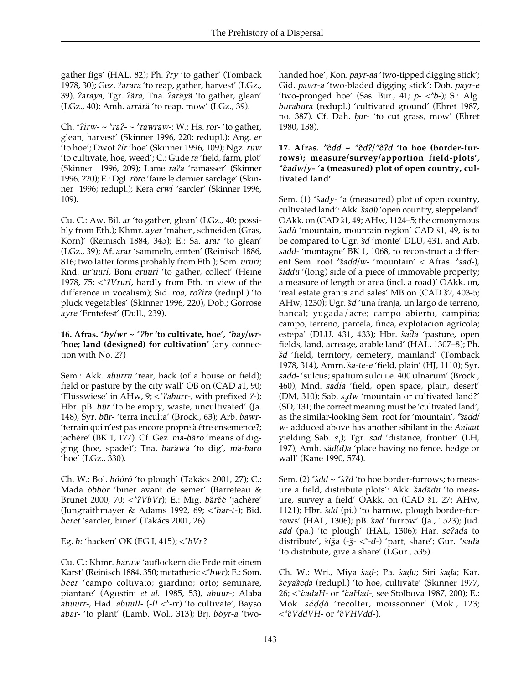gather figs' (HAL, 82); Ph. */ry* 'to gather' (Tomback 1978, 30); Gez. */arara* 'to reap, gather, harvest' (LGz., 39), */araya;* Tgr. */a\_ra,* Tna. */ara\_ya\_* 'to gather, glean' (LGz., 40); Amh. *arra\_ra\_* 'to reap, mow' (LGz., 39).

Ch. \**/irw-* ~ \**ra/-* ~ \**rawraw-*: W.: Hs. *ror-* 'to gather, glean, harvest' (Skinner 1996, 220; redupl.); Ang. *er* 'to hoe'; Dwot */ir* 'hoe' (Skinner 1996, 109); Ngz. *ruw* 'to cultivate, hoe, weed'; C.: Gude *ra* 'field, farm, plot' (Skinner 1996, 209); Lame *ra/a* 'ramasser' (Skinner 1996, 220); E.: Dgl. *rore* 'faire le dernier sarclage' (Skinner 1996; redupl.); Kera *erwi* 'sarcler' (Skinner 1996, 109).

Cu. C.: Aw. Bil. *ar* 'to gather, glean' (LGz., 40; possibly from Eth.); Khmr. *ayer* 'mähen, schneiden (Gras, Korn)' (Reinisch 1884, 345); E.: Sa. *arar* 'to glean' (LGz., 39); Af. *arar* 'sammeln, ernten' (Reinisch 1886, 816; two latter forms probably from Eth.); Som. *ururi*; Rnd. *ur'uuri*, Boni *eruuri* 'to gather, collect' (Heine 1978, 75; <\**/Vruri*, hardly from Eth. in view of the difference in vocalism); Sid. roa, ro?ira (redupl.) 'to pluck vegetables' (Skinner 1996, 220), Dob.; Gorrose *ayre* 'Erntefest' (Dull., 239).

#### 16. Afras.  $*$ *by*/*wr*  $\sim$   $*$ *lbr* 'to cultivate, hoe',  $*$ *bay*/*wr*-**'hoe; land (designed) for cultivation'** (any connection with No. 2?)

Sem.: Akk. *aburru* 'rear, back (of a house or field); field or pasture by the city wall' OB on (CAD *a*1, 90; 'Flüsswiese' in AHw, 9; <\* ?aburr-, with prefixed ?-); Hbr. pB. *būr* 'to be empty, waste, uncultivated' (Ja. 148); Syr. *būr*- 'terra inculta' (Brock., 63); Arb. *bawr*-'terrain qui n'est pas encore propre à être ensemence?; jachère' (BK 1, 177). Cf. Gez. *ma-bāro* 'means of digging (hoe, spade)'; Tna. *bara\_wa\_* 'to dig', *ma\_-baro* 'hoe' (LGz., 330).

Ch. W.: Bol. *bóóró* 'to plough' (Takács 2001, 27); C.: Mada óbbòr 'biner avant de semer' (Barreteau & Brunet 2000, 70; <*\*/VbVr*); E.: Mig. *ba^rc&e\$* 'jachère' (Jungraithmayer & Adams 1992, 69; *<\*bar-t-*); Bid. *beret* 'sarcler, biner' (Takács 2001, 26).

Eg. *b˘* 'hacken' OK (EG I, 415); <\**bVr* ?

Cu. C.: Khmr. *baruw* 'auflockern die Erde mit einem Karst' (Reinisch 1884, 350; metathetic <\**bwr*); E.: Som. *beer* 'campo coltivato; giardino; orto; seminare, piantare' (Agostini *et al.* 1985, 53), *abuur*-; Alaba *abuurr*-, Had. *abuull*- (-*ll* <\*-*rr*) 'to cultivate', Bayso *abar-* 'to plant' (Lamb. Wol., 313); Brj. *bóyr-a* 'twohanded hoe'; Kon. *payr-aa* 'two-tipped digging stick'; Gid. *pawr-a* 'two-bladed digging stick'; Dob. *payr-e* 'two-pronged hoe' (Sas. Bur., 41;  $p$ -  $\lt$ <sup>\*</sup>b-); S.: Alg. *burabura* (redupl.) 'cultivated ground' (Ehret 1987, no. 387). Cf. Dah. *b.ur-* 'to cut grass, mow' (Ehret 1980, 138).

#### **17. Afras.** *\*c^dd ~ \*c^d//\*c^/d* **'to hoe (border-furrows); measure/survey/apportion field-plots',** *\*c^adw/y-* **'a (measured) plot of open country, cultivated land'**

Sem. (1) \**s<sup>ady-'a* (measured) plot of open country,</sup> cultivated land': Akk. šadû 'open country, steppeland' OAkk. on (CAD  $\S1$ , 49; AHw, 1124–5; the omonymous *s&adu^* 'mountain, mountain region' CAD *s&*1, 49, is to be compared to Ugr. *s&d* 'monte' DLU, 431, and Arb. *sadd-* 'montagne' BK 1, 1068, to reconstruct a different Sem. root *\*sadd*/*w*- 'mountain' < Afras. *\*sad*-), *šiddu* '(long) side of a piece of immovable property; a measure of length or area (incl. a road)' OAkk. on, 'real estate grants and sales' MB on (CAD  $\S 2$ , 403-5; AHw, 1230); Ugr. *s&d* 'una franja, un largo de terreno, bancal; yugada/acre; campo abierto, campiña; campo, terreno, parcela, finca, explotacion agrícola; estepa' (DLU, 431, 433); Hbr.  $\hat{s}\bar{a}\bar{d}\hat{a}$  'pasture, open fields, land, acreage, arable land' (HAL, 1307–8); Ph. *s&d* 'field, territory, cemetery, mainland' (Tomback 1978, 314), Amrn. ša-te-e 'field, plain' (HJ, 1110); Syr. *sadd-* 'sulcus; spatium sulci i.e. 400 ulnarum' (Brock., 460), Mnd. *sadia* 'field, open space, plain, desert' (DM, 310); Sab. *s<sup>2</sup> dw* 'mountain or cultivated land?' (SD, 131; the correct meaning must be 'cultivated land', as the similar-looking Sem. root for 'mountain', *\*sadd*/ *w-* adduced above has another sibilant in the *Anlaut* yielding Sab. *s*<sub>1</sub>); Tgr. *səd* 'distance, frontier' (LH, 197), Amh. *sa\_d(d)a* 'place having no fence, hedge or wall' (Kane 1990, 574).

Sem. (2) \* $\frac{2}{3}$ d ~ \* $\frac{2}{3}$  'to hoe border-furrows; to measure a field, distribute plots': Akk. šadādu 'to measure, survey a field' OAkk. on (CAD *s&*1, 27; AHw, 1121); Hbr.  $\hat{s}dd$  (pi.) 'to harrow, plough border-furrows' (HAL, 1306); pB. *s^ad* 'furrow' (Ja., 1523); Jud. *sdd* (pa.) 'to plough' (HAL, 1306); Har. *se/ada* to distribute',  $\check{s}i\check{z}a$  (- $\check{z}$ - <\*-d-) 'part, share'; Gur. \* $s\bar{a}d\check{a}$ 'to distribute, give a share' (LGur., 535).

Ch. W.: Wrj., Miya *s^ad. -*; Pa. *s^ad. u*; Siri *s^ad. a*; Kar. *s^eyas^ed. ´* (redupl.) 'to hoe, cultivate' (Skinner 1977, 26; <*\*c^adaH-* or *\*c^aHad-*, see Stolbova 1987, 200); E.: Mok. *séddó* 'recolter, moissonner' (Mok., 123; <*\*c^VddVH*- or *\*c^VHVdd-*).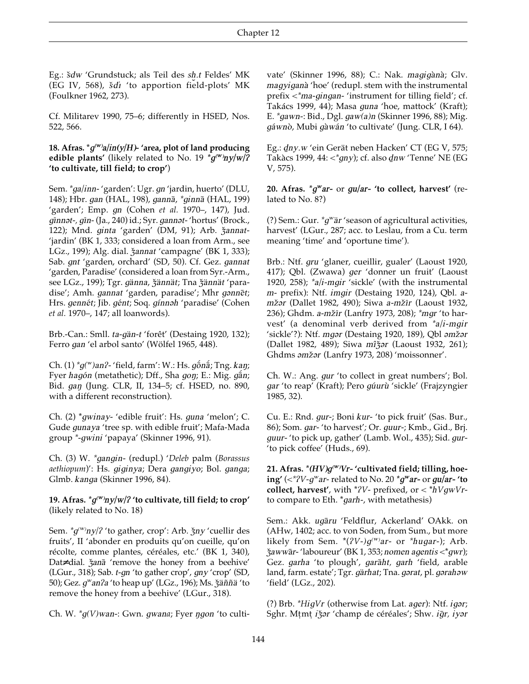Eg.: *šdw '*Grundstuck; als Teil des *sh.t* Feldes' MK<br>(EG IV 568) *šdi '*to apportion field-plots' MK Eg.: *saw* Grundstuck; als Tell des *sig.t* Feldes MK<br>(EG IV, 568), *šdi* 'to apportion field-plots' MK (Foulkner 1962, 273).

Cf. Militarev 1990, 75–6; differently in HSED, Nos. 522, 566.

#### **18. Afras. \****g( W) a/in(y/H)-* **'area, plot of land producing edible plants'** (likely related to No. 19 *\*g( W) ny/w//* **'to cultivate, till field; to crop'**)

Sem. *\*ga/inn-* 'garden': Ugr. *gn* 'jardin, huerto' (DLU, 148); Hbr. gan (HAL, 198), ganna, *\*ginna* (HAL, 199) 'garden'; Emp. *gn* (Cohen *et al.* 1970–, 147), Jud. *gīnnət-, gīn-* (Ja., 240) id.; Syr. *gannət-* 'hortus' (Brock., 122); Mnd. *ginta* 'garden' (DM, 91); Arb.  $\check{z}$ annat-'jardin' (BK 1, 333; considered a loan from Arm., see LGz., 199); Alg. dial. *žannat* 'campagne' (BK 1, 333); Sab. *gnt* 'garden, orchard' (SD, 50). Cf. Gez. *gannat* 'garden, Paradise' (considered a loan from Syr.-Arm., see LGz., 199); Tgr. *gänna*, *žännät*; Tna *žännät* 'paradise'; Amh. *gannat* 'garden, paradise'; Mhr *gannet*; Hrs. *gennét*; Jib. *gént*; Soq. *gínnəh* 'paradise' (Cohen *et al.* 1970–, 147; all loanwords).

Brb.-Can.: Smll. *ta-ga\_n-t* 'forêt' (Destaing 1920, 132); Ferro *gan* 'el arbol santo' (Wölfel 1965, 448).

Ch.  $(1)$ <sup>\*</sup> $q$ <sup>*(w*</sup>)*an*<sup>2</sup>*-* 'field, farm': W.: Hs.  $q\bar{\phi}n\bar{\hat{a}}$ ; Tng. *kan*; Fyer *hagón* (metathetic); Dff., Sha *gon*; E.: Mig. *g*án; Bid. *gan* (Jung. CLR, II, 134-5; cf. HSED, no. 890, with a different reconstruction).

Ch. (2) \**gwinay*- 'edible fruit': Hs. *guna* 'melon'; C. Gude *gunaya* 'tree sp. with edible fruit'; Mafa-Mada group *\*-gwini* 'papaya' (Skinner 1996, 91).

Ch. (3) W. *\*gangin-* (redupl.) '*Deleb* palm (*Borassus aethiopum*)': Hs. *giginya*; Dera *gangiyo*; Bol. *ganga*; Glmb. *kanga* (Skinner 1996, 84).

#### **19. Afras.** *\*g( W) ny/w//* **'to cultivate, till field; to crop'** (likely related to No. 18)

Sem. *\*g( W) ny//* 'to gather, crop': Arb. *Z&ny* 'cuellir des fruits', II 'abonder en produits qu'on cueille, qu'on récolte, comme plantes, céréales, etc.' (BK 1, 340), Dat≠ dial. *žanā* 'remove the honey from a beehive' (LGur., 318); Sab. *t-gn* 'to gather crop', *gny* 'crop' (SD, 50); Gez. *gWan/a* 'to heap up' (LGz., 196); Ms. *Z&a\_n)n)a\_* 'to remove the honey from a beehive' (LGur., 318).

Ch. W. *\*g*(*V*)*wan*-: Gwn. *gwana*; Fyer *ngon* 'to culti-

vate' (Skinner 1996, 88); C.: Nak. *magigana*; Glv. *magyigana\$* 'hoe' (redupl. stem with the instrumental prefix <*\*ma-gingan-* 'instrument for tilling field'; cf. Takács 1999, 44); Masa *guna* 'hoe, mattock' (Kraft); E. *\*gawn-*: Bid., Dgl. *gaw(a)n* (Skinner 1996, 88); Mig. *gáwnò*, Mubi *gàwán* 'to cultivate' (Jung. CLR, I 64).

Eg.: *dny.w* 'ein Gerät neben Hacken' CT (EG V, 575; Takàcs 1999, 44: <\**gny*); cf. also *dnw* 'Tenne' NE (EG V, 575).

**20. Afras.** *\*gWar-* or *gu/ar-* **'to collect, harvest'** (related to No. 8?)

(?) Sem.: Gur. *\*q<sup>w</sup>är* 'season of agricultural activities, harvest' (LGur., 287; acc. to Leslau, from a Cu. term meaning 'time' and 'oportune time').

Brb.: Ntf. *gru* 'glaner, cueillir, gualer' (Laoust 1920, 417); Qbl. (Zwawa) *ger* 'donner un fruit' (Laoust 1920, 258); *\*a/i-mgir* 'sickle' (with the instrumental *m*- prefix): Ntf. *imgir* (Destaing 1920, 124), Qbl. *amž*ar (Dallet 1982, 490); Siwa *a*-*mžīr* (Laoust 1932, 236); Ghdm. *a-mžīr* (Lanfry 1973, 208); *\*mgr* 'to harvest' (a denominal verb derived from *\*a/i-mgir* 'sickle'?): Ntf. *mg*<sub>r</sub> (Destaing 1920, 189), Qbl *amžar* (Dallet 1982, 489); Siwa *mîğar* (Laoust 1932, 261); Ghdms *amžar* (Lanfry 1973, 208) 'moissonner'.

Ch. W.: Ang. *gur* 'to collect in great numbers'; Bol. *gar* 'to reap' (Kraft); Pero *gúurù* 'sickle' (Frajzyngier 1985, 32).

Cu. E.: Rnd. *gur-*; Boni *kur-* 'to pick fruit' (Sas. Bur., 86); Som. *gar-* 'to harvest'*;* Or. *guur-*; Kmb., Gid., Brj. *guur-* 'to pick up, gather' (Lamb. Wol., 435); Sid. *gur-* 'to pick coffee' (Huds., 69).

**21. Afras.** *\*(HV)g( W) Vr-* **'cultivated field; tilling, hoeing'** (<*\*/V-gWar-* related to No. 20 *\*gWar-* or *gu/ar-* **'to collect, harvest'**, with \* $7V$ - prefixed, or < \* $hVgWVr$ to compare to Eth. \**garh*-, with metathesis)

Sem.: Akk. *ugāru* 'Feldflur, Ackerland' OAkk. on (AHw, 1402; acc. to von Soden, from Sum., but more likely from Sem. \*(*/V-)g( W) ar*- or *\*hugar-*); Arb. *Z&awwa#r-* 'laboureur' (BK 1, 353; *nomen agentis* <\**gwr*); Gez. *garha* 'to plough', *garāht*, *garh* 'field, arable land, farm. estate'; Tgr. *gärhat*; Tna. *garat*, pl. *garahaw* 'field' (LGz., 202).

(?) Brb. *\*HigVr* (otherwise from Lat. *ager*): Ntf. *igar*; Sghr. Mtmt *i'sar* 'champ de céréales'; Shw. *igr, iyar*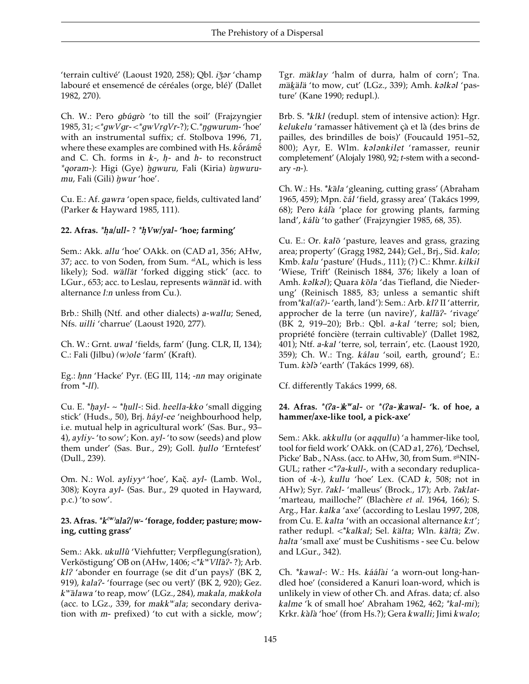'terrain cultivé' (Laoust 1920, 258); Qbl. ižar 'champ labouré et ensemencé de céréales (orge, blé)' (Dallet 1982, 270).

Ch. W.: Pero gbúgrò 'to till the soil' (Frajzyngier 1985, 31;  $\langle \text{y}, \text{y} \rangle = \langle \text{y}, \text{y} \rangle = \langle \text{y}, \text{y} \rangle = \langle \text{y}, \text{y} \rangle = \langle \text{y}, \text{y} \rangle = \langle \text{y}, \text{y} \rangle = \langle \text{y}, \text{y} \rangle = \langle \text{y}, \text{y} \rangle = \langle \text{y}, \text{y} \rangle = \langle \text{y}, \text{y} \rangle = \langle \text{y}, \text{y} \rangle = \langle \text{y}, \text{y} \rangle = \langle \text{y}, \text{y} \rangle = \langle \text{y}, \text{y} \rangle =$ with an instrumental suffix; cf. Stolbova 1996, 71, where these examples are combined with Hs. kofrámé and C. Ch. forms in  $k$ -,  $h$ - and  $h$ - to reconstruct *\*goram-*): Higi (Gye) *igwuru*, Fali (Kiria) *unwuru*mu, Fali (Gili) *i* wur 'hoe'.

Cu. E.: Af. gawra 'open space, fields, cultivated land' (Parker & Hayward 1985, 111).

22. Afras.  $\hbar a/ull$ -?  $\hbar Vw/$ yal-'hoe; farming'

Sem.: Akk. allu 'hoe' OAkk. on (CAD a1, 356; AHw, 37; acc. to von Soden, from Sum. <sup>al</sup>AL, which is less likely); Sod. wällät 'forked digging stick' (acc. to LGur., 653; acc. to Leslau, represents wännät id. with alternance *l:n* unless from Cu.).

Brb.: Shilh (Ntf. and other dialects) a-wallu; Sened, Nfs. uilli 'charrue' (Laoust 1920, 277).

Ch. W.: Grnt. uwal 'fields, farm' (Jung. CLR, II, 134); C.: Fali (Jilbu) (w)ole 'farm' (Kraft).

Eg.: hnn 'Hacke' Pyr. (EG III, 114; -nn may originate from  $*$ - $11$ ).

Cu. E. \*hayl-  $\sim$  \*hull-: Sid. heella-kko 'small digging stick' (Huds., 50), Brj. háyl-ee 'neighbourhood help, i.e. mutual help in agricultural work' (Sas. Bur., 93-4), ayliy-'to sow'; Kon. ayl-'to sow (seeds) and plow them under' (Sas. Bur., 29); Goll. hullo 'Erntefest' (Dull., 239).

Om. N.: Wol. ayliyy<sup>a</sup> 'hoe', Kač. ayl- (Lamb. Wol., 308); Koyra ayl- (Sas. Bur., 29 quoted in Hayward,  $p.c.$ ) 'to sow'.

#### 23. Afras. \* k<sup>(w)</sup>ala?/w- 'forage, fodder; pasture; mowing, cutting grass'

Sem.: Akk. ukullû 'Viehfutter; Verpflegung(sration), Verköstigung' OB on (AHw, 1406; <\* k<sup>w</sup> VIIa?-?); Arb. kl? 'abonder en fourrage (se dit d'un pays)' (BK 2, 919), kala?- 'fourrage (sec ou vert)' (BK 2, 920); Gez. k<sup>w</sup>ālawa 'to reap, mow' (LGz., 284), makala, makkola (acc. to LGz., 339, for makk<sup>w</sup>ala; secondary derivation with m- prefixed) 'to cut with a sickle, mow'; Tgr. mäklay 'halm of durra, halm of corn'; Tna. mäkälä 'to mow, cut' (LGz., 339); Amh. kalkal 'pasture' (Kane 1990; redupl.).

Brb. S. \*klkl (redupl. stem of intensive action): Hgr. kelukelu 'ramasser hâtivement çà et là (des brins de pailles, des brindilles de bois)' (Foucauld 1951-52, 800); Ayr, E. Wlm. kalankilet 'ramasser, reunir completement' (Alojaly 1980, 92; t-stem with a second $arv - n$ -).

Ch. W.: Hs. \*kala 'gleaning, cutting grass' (Abraham 1965, 459); Mpn. čál 'field, grassy area' (Takács 1999, 68); Pero kálà 'place for growing plants, farming land', kálù 'to gather' (Frajzyngier 1985, 68, 35).

Cu. E.: Or. kalō 'pasture, leaves and grass, grazing area; property' (Gragg 1982, 244); Gel., Brj., Sid. kalo; Kmb. kalu 'pasture' (Huds., 111); (?) C.: Khmr. kilkil 'Wiese, Trift' (Reinisch 1884, 376; likely a loan of Amh. kalkal); Quara kōla 'das Tiefland, die Niederung' (Reinisch 1885, 83; unless a semantic shift from \*kal(a?)-'earth, land'): Sem.: Arb. kl? II 'atterrir, approcher de la terre (un navire)', kallā?- 'rivage' (BK 2, 919-20); Brb.: Qbl. a-kal 'terre; sol; bien, propriété foncière (terrain cultivable)' (Dallet 1982, 401); Ntf. a-kal 'terre, sol, terrain', etc. (Laoust 1920, 359); Ch. W.: Tng. kálau 'soil, earth, ground'; E.: Tum. kolo 'earth' (Takács 1999, 68).

Cf. differently Takács 1999, 68.

#### 24. Afras.  $*(2a - kw - a)$  or  $*(2a - kaw - a)$ . Kawal- 'k. of hoe, a hammer/axe-like tool, a pick-axe'

Sem.: Akk. akkullu (or aqqullu) 'a hammer-like tool, tool for field work' OAkk. on (CAD a1, 276), 'Dechsel, Picke' Bab., NAss. (acc. to AHw, 30, from Sum. <sup>giš</sup>NIN-GUL; rather <\*?a-kull-, with a secondary reduplication of -k-),  $kullu$  'hoe' Lex. (CAD  $k$ , 508; not in AHw); Syr. ?akl- 'malleus' (Brock., 17); Arb. ?aklat-'marteau, mailloche?' (Blachère et al. 1964, 166); S. Arg., Har. kalka 'axe' (according to Leslau 1997, 208, from Cu. E. kalta 'with an occasional alternance k:t'; rather redupl. <\* kalkal; Sel. kälta; Wln. kältä; Zw. halta 'small axe' must be Cushitisms - see Cu. below and LGur., 342).

Ch. \*kawal-: W.: Hs. káálài 'a worn-out long-handled hoe' (considered a Kanuri loan-word, which is unlikely in view of other Ch. and Afras. data; cf. also kalme 'k of small hoe' Abraham 1962, 462; \*kal-mi); Krkr. kàlà 'hoe' (from Hs.?); Gera kwalli; Jimi kwalo;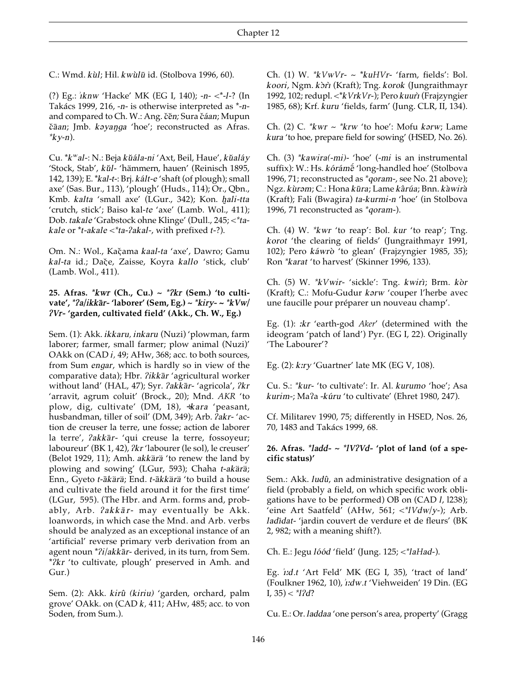C.: Wmd. kùl; Hil. kwùlū id. (Stolbova 1996, 60).

(?) Eg.: iknw 'Hacke' MK (EG I, 140); -n- <\*-l-? (In Takács 1999, 216, -n- is otherwise interpreted as \*-nand compared to Ch. W.: Ang. čěn; Sura čáan; Mupun čāan; Jmb. kayanga 'hoe'; reconstructed as Afras.  $*_{ky-n}$ ).

Cu. \*k<sup>w</sup>al-: N.: Beja kŭála-ni 'Axt, Beil, Haue', kŭaláy 'Stock, Stab', kŭl- 'hämmern, hauen' (Reinisch 1895, 142, 139); E. \*kal-t-: Brj. kált-e 'shaft (of plough); small axe' (Sas. Bur., 113), 'plough' (Huds., 114); Or., Qbn., Kmb. kalta 'small axe' (LGur., 342); Kon. hali-tta 'crutch, stick'; Baiso kal-te 'axe' (Lamb. Wol., 411); Dob. takale 'Grabstock ohne Klinge' (Dull., 245; <\* takale or \*t-akale <\*ta-?akal-, with prefixed t-?).

Om. N.: Wol., Kačama kaal-ta 'axe', Dawro; Gamu kal-ta id.; Dače, Zaisse, Koyra kallo 'stick, club' (Lamb. Wol., 411).

#### 25. Afras. \* kwr (Ch., Cu.) ~ \* ? kr (Sem.) 'to cultivate', \*?a/ikkār- 'laborer' (Sem, Eg.) ~ \*kiry- ~ \*kVw/ ?Vr- 'garden, cultivated field' (Akk., Ch. W., Eg.)

Sem. (1): Akk. ikkaru, inkaru (Nuzi) 'plowman, farm laborer; farmer, small farmer; plow animal (Nuzi)' OAkk on (CAD i, 49; AHw, 368; acc. to both sources, from Sum engar, which is hardly so in view of the comparative data); Hbr. ?ikkār 'agricultural worker without land' (HAL, 47); Syr. ?akkār- 'agricola', ?kr 'arravit, agrum coluit' (Brock., 20); Mnd. AKR 'to plow, dig, cultivate' (DM, 18), +kara 'peasant, husbandman, tiller of soil' (DM, 349); Arb. ?akr-'action de creuser la terre, une fosse; action de laborer la terre', ?akkār- 'qui creuse la terre, fossoyeur; laboureur' (BK 1, 42), ?kr 'labourer (le sol), le creuser' (Belot 1929, 11); Amh. akkärä 'to renew the land by plowing and sowing' (LGur, 593); Chaha t-akärä; Enn., Gyeto t-ākärä; End. t-ākkärä 'to build a house and cultivate the field around it for the first time' (LGur, 595). (The Hbr. and Arm. forms and, probably, Arb. ?akkār- may eventually be Akk. loanwords, in which case the Mnd. and Arb. verbs should be analyzed as an exceptional instance of an 'artificial' reverse primary verb derivation from an agent noun \*?i/akkār- derived, in its turn, from Sem. \*2kr 'to cultivate, plough' preserved in Amh. and  $Gur.$ )

Sem. (2): Akk. kirû (kiriu) 'garden, orchard, palm grove' OAkk. on  $(CAD k, 411; AHw, 485;$  acc. to von Soden, from Sum.).

Ch. (1) W.  $*kVwVr - \sim *kuHVr - 'farm$ , fields': Bol. koori, Ngm. kòrì (Kraft); Tng. korok (Jungraithmayr 1992, 102; redupl. <\* k Vrk Vr-); Pero kuurt (Frajzyngier 1985, 68); Krf. kuru 'fields, farm' (Jung. CLR, II, 134).

Ch. (2) C.  $*kwr \sim *krw$  'to hoe': Mofu karw; Lame kura 'to hoe, prepare field for sowing' (HSED, No. 26).

Ch. (3) \*kawira(-mi)- 'hoe' (-mi is an instrumental suffix): W.: Hs. kórámé 'long-handled hoe' (Stolbova 1996, 71; reconstructed as \*qoram-, see No. 21 above); Ngz. kùram; C.: Hona kūra; Lame kârúa; Bnn. kàwirà (Kraft); Fali (Bwagira) ta-kurmi-n 'hoe' (in Stolbova 1996, 71 reconstructed as \*qoram-).

Ch. (4) W. \*kwr 'to reap': Bol. kur 'to reap'; Tng. korot 'the clearing of fields' (Jungraithmayr 1991, 102); Pero káwrò 'to glean' (Frajzyngier 1985, 35); Ron \*karat 'to harvest' (Skinner 1996, 133).

Ch. (5) W. \* kVwir- 'sickle': Tng. kwirì; Brm. kòr (Kraft); C.: Mofu-Gudur karw 'couper l'herbe avec une faucille pour préparer un nouveau champ'.

Eg. (1): *:kr* 'earth-god *Aker'* (determined with the ideogram 'patch of land') Pyr. (EG I, 22). Originally 'The Labourer'?

Eg.  $(2)$ :  $k$ *ry* 'Guartner' late MK (EG V, 108).

Cu. S.: \*kur- 'to cultivate': Ir. Al. kurumo 'hoe'; Asa kurim-; Ma?a -kúru 'to cultivate' (Ehret 1980, 247).

Cf. Militarev 1990, 75; differently in HSED, Nos. 26, 70, 1483 and Takács 1999, 68.

#### 26. Afras. \*ladd-  $\sim$  \*lV?Vd- 'plot of land (of a specific status)'

Sem.: Akk. ludû, an administrative designation of a field (probably a field, on which specific work obligations have to be performed) OB on (CAD *I*, 1238); 'eine Art Saatfeld' (AHw, 561;  $\langle$ <sup>\*</sup>IVdw/y-); Arb. ladīdat-'jardin couvert de verdure et de fleurs' (BK 2, 982; with a meaning shift?).

Ch. E.: Jegu *lóód* 'field' (Jung. 125; <\* laHad-).

Eg. i:d.t 'Art Feld' MK (EG I, 35), 'tract of land' (Foulkner 1962, 10), i:dw.t 'Viehweiden' 19 Din. (EG I,  $35$ ) <  $*12d$ ?

Cu. E.: Or. laddaa 'one person's area, property' (Gragg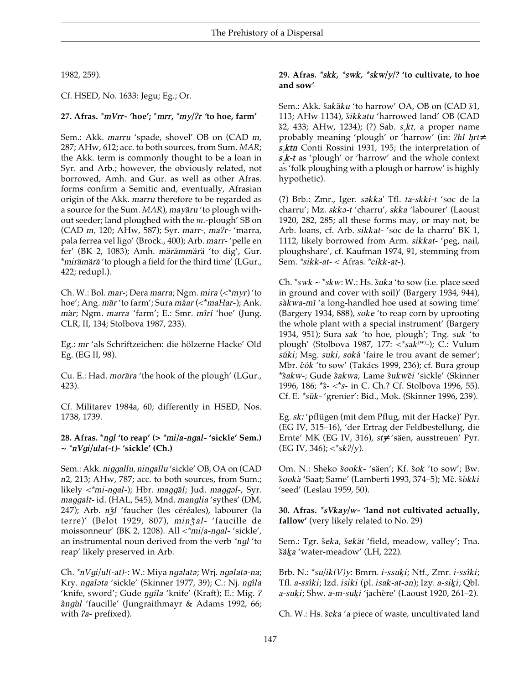1982, 259).

Cf. HSED, No. 1633: Jegu; Eg.; Or.

**27. Afras.** *\*mVrr-* **'hoe'; \****mrr***,** *\*my//r '***to hoe, farm'**

Sem.: Akk. *marru* 'spade, shovel' OB on (CAD *m,* 287; AHw, 612; acc. to both sources, from Sum. *MAR*; the Akk. term is commonly thought to be a loan in Syr. and Arb.; however, the obviously related, not borrowed, Amh. and Gur. as well as other Afras. forms confirm a Semitic and, eventually, Afrasian origin of the Akk. *marru* therefore to be regarded as a source for the Sum. *MAR*), *mayaru* 'to plough without seeder; land ploughed with the *m*.-plough' SB on (CAD *m,* 120; AHw, 587); Syr. *marr-, ma/r-* 'marra, pala ferrea vel ligo' (Brock., 400); Arb. *marr-* 'pelle en fer' (BK 2, 1083); Amh. *ma\_ra\_mma\_ra\_* 'to dig', Gur. \**mirämärä* 'to plough a field for the third time' (LGur., 422; redupl.).

Ch. W.: Bol. *mar-*; Dera *marra*; Ngm. *mira* (<\**myr*) 'to hoe'; Ang. *mār* 'to farm'; Sura *máar* (<\**maHar*-); Ank. *màr*; Ngm. *marra* 'farm'; E.: Smr. *mîrí* 'hoe' (Jung. CLR, II, 134; Stolbova 1987, 233).

Eg.: *mr* 'als Schriftzeichen: die hölzerne Hacke' Old Eg. (EG II, 98).

Cu. E.: Had. *morāra* 'the hook of the plough' (LGur., 423).

Cf. Militarev 1984a, 60; differently in HSED, Nos. 1738, 1739.

#### **28. Afras. \****ngl* **'to reap' (>** *\*mi/a-ngal-* **'sickle' Sem.) ~** *\*nVgi/ula(-t)-* **'sickle' (Ch.)**

Sem.: Akk. *niggallu, ningallu* 'sickle' OB, OA on (CAD *n*2*,* 213; AHw, 787; acc. to both sources, from Sum.; likely <\*mi-*ngal*-); Hbr. *maggal*; Jud. *maggal*-, Syr. *maggalt-* id. (HAL, 545), Mnd. *manglia* 'sythes' (DM, 247); Arb. *nzl* 'faucher (les céréales), labourer (la terre)' (Belot 1929, 807), minžal- 'faucille de moissonneur' (BK 2, 1208). All <*\*mi/a-ngal-* 'sickle', an instrumental noun derived from the verb *\*ngl* 'to reap' likely preserved in Arb.

Ch.  $\pi N$ *gi*/*ul*(*-at*)-: W.: Miya *ng*əlatə; Wrj. *ng*əlatə-na; Kry. *ngal*əta 'sickle' (Skinner 1977, 39); C.: Nj. *ngîla* 'knife, sword'; Gude *ngíla* 'knife' (Kraft); E.: Mig. ? *a^ngu\$l* 'faucille' (Jungraithmayr & Adams 1992, 66; with */a-* prefixed).

#### **29. Afras.** *\*skk, \*swk, \*skw/y/?* **'to cultivate, to hoe and sow'**

Sem.: Akk. *šakāku* 'to harrow' OA, OB on (CAD *š*1, 113; AHw 1134), *šikkatu* 'harrowed land' OB (CAD *s&*2, 433; AHw, 1234); (?) Sab. *s<sup>1</sup> kt,* a proper name probably meaning 'plough' or 'harrow' (in: *?hl hrt*≠ *s1 ktn* Conti Rossini 1931, 195; the interpretation of *s1 k-t* as 'plough' or 'harrow' and the whole context as 'folk ploughing with a plough or harrow' is highly hypothetic).

(?) Brb.: Zmr., Iger. *s´kka*' Tfl. *ta-skki-t* 'soc de la charru'; Mz. *skk´-t* 'charru', *skka* 'labourer' (Laoust 1920, 282, 285; all these forms may, or may not, be Arb. loans, cf. Arb. *sikkat-* 'soc de la charru' BK 1, 1112, likely borrowed from Arm. *sikkat-* 'peg, nail, ploughshare', cf. Kaufman 1974, 91, stemming from Sem. *\*sikk-at-* < Afras. *\*cikk-at-*).

Ch.  $*_{swk} \sim *_{skw} W$ .: Hs.  $šuka$  'to sow (i.e. place seed in ground and cover with soil)' (Bargery 1934, 944), sàkwa-mī 'a long-handled hoe used at sowing time' (Bargery 1934, 888), *soke* 'to reap corn by uprooting the whole plant with a special instrument' (Bargery 1934, 951); Sura *sak* 'to hoe, plough'; Tng. *suk* 'to plough' (Stolbova 1987, 177: <*\*sak( W)* -); C.: Vulum  $súki$ ; Msg. *suki*, *soká* 'faire le trou avant de semer'; Mbr. čók 'to sow' (Takács 1999, 236); cf. Bura group \**s^akw-*; Gude *s^akwa*, Lame *s^ukwe#i* 'sickle' (Skinner 1996, 186; \**s^*- <\**s*- in C. Ch.? Cf. Stolbova 1996, 55). Cf. E. *\*su#k-* 'grenier': Bid., Mok. (Skinner 1996, 239).

Eg. *sk˘* 'pflügen (mit dem Pflug, mit der Hacke)' Pyr. (EG IV, 315–16), 'der Ertrag der Feldbestellung, die Ernte' MK (EG IV, 316), *st*≠*y* 'säen, ausstreuen' Pyr. (EG IV, 346); *<\*sk//y*).

Om. N.: Sheko *s&ookk-* 'säen'; Kf. *s&ok* 'to sow'; Bw.  $\delta$ ookà 'Saat; Same' (Lamberti 1993, 374–5); Mč.  $\delta$ òkki 'seed' (Leslau 1959, 50).

**30. Afras.** *\*sVkay/w-* **'land not cultivated actually, fallow'** (very likely related to No. 29)

Sem.: Tgr. šeka, šekät 'field, meadow, valley'; Tna. šäka 'water-meadow' (LH, 222).

Brb. N.:  $*su/ik(V)y$ : Bmrn. *i-ssuki*; Ntf., Zmr. *i-ssîki*; Tfl. *a*-*ssîki*; Izd. *isiki* (pl. *isak*-*at*-*an*); Izy. *a-siki*; Qbl. *a*-*suki*; Shw. *a*-*m*-*suki* 'jachère' (Laoust 1920, 261–2).

Ch. W.: Hs. *s&eka* 'a piece of waste, uncultivated land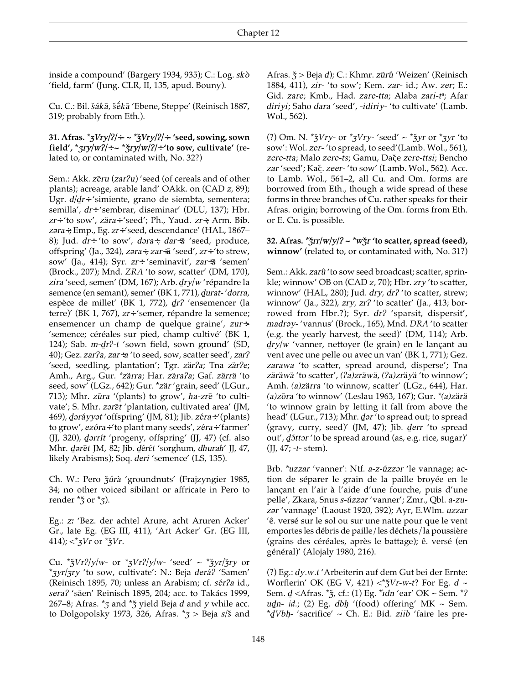inside a compound' (Bargery 1934, 935); C.: Log. *sko\$* 'field, farm' (Jung. CLR, II, 135, apud. Bouny).

Cu. C.: Bil. šákā, šēkā 'Ebene, Steppe' (Reinisch 1887, 319; probably from Eth.).

**31. Afras.** *\*ZVry///*÷*-* **~** *\*Z&Vry///*÷*-* **'seed, sowing, sown field', \****zry*/*w*<sup> $2$ </sup>/÷ ~ \* $\frac{2}{3}$ *ry*/*w*/ $\frac{2}{7}$  + 'to sow, cultivate' (related to, or contaminated with, No. 32?)

Sem.: Akk. *zeru* (*zar?u*) 'seed (of cereals and of other plants); acreage, arable land' OAkk. on (CAD *z,* 89); Ugr. *d*/*dr*÷ 'simiente, grano de siembta, sementera; semilla', *dr*÷ 'sembrar, diseminar' (DLU, 137); Hbr. *zr*÷ 'to sow', *za\_ra*÷ 'seed'; Ph., Yaud. *zr*÷; Arm. Bib. *z´ra*÷; Emp., Eg. *zr*÷ 'seed, descendance' (HAL, 1867– 8); Jud. *dr*÷ 'to sow', *dara*÷, *dar*÷*ā* 'seed, produce, offspring' (Ja., 324), *zara*÷, *zar*÷ $\bar{a}$  'seed', *zr*÷ 'to strew, sow' (Ja., 414); Syr. *zr*÷ 'seminavit', *zar*÷*a* 'semen' (Brock., 207); Mnd. *ZRA* 'to sow, scatter' (DM, 170), *zira* 'seed, semen' (DM, 167); Arb. *dry/w* 'répandre la semence (en semant), semer' (BK 1, 771), *durat-'dorra*, espèce de millet' (BK 1, 772), *dr?* 'ensemencer (la terre)' (BK 1, 767), *zr*÷ 'semer, répandre la semence; ensemencer un champ de quelque graine', *zur*÷*-* 'semence; céréales sur pied, champ cultivé' (BK 1, 124); Sab. *m-dr?-t* 'sown field, sown ground' (SD, 40); Gez. *zar/a, zar*÷*a* 'to seed, sow, scatter seed', *zar/* 'seed, seedling, plantation'; Tgr. zär?a; Tna zär?e; Amh., Arg., Gur. *\*za\_rra*; Har. *za\_ra/a*; Gaf. *za\_rra\_* 'to seed, sow' (LGz., 642); Gur. \*zär 'grain, seed' (LGur., 713); Mhr. *zūra* '(plants) to grow', ha-*zr*ē 'to cultivate'; S. Mhr. zaret 'plantation, cultivated area' (JM, 469), *dəráyyət* 'offspring' (JM, 81); Jib. *zéra*÷ '(plants) to grow', *ezóra*÷'to plant many seeds', *zéra*÷'farmer' (JJ, 320), *d*arrít 'progeny, offspring' (JJ, 47) (cf. also Mhr. *d*ərēt JM, 82; Jib. *dérét 'sorghum, dhurah' JJ, 47*, likely Arabisms); Soq. *deri* 'semence' (LS, 135).

Ch. W.: Pero *žúrà* 'groundnuts' (Frajzyngier 1985, 34; no other voiced sibilant or affricate in Pero to render  $*$ <sup>*z*</sup> or  $*$ <sup>*z*</sup>).

Eg.: *z˘* 'Bez. der achtel Arure, acht Aruren Acker' Gr., late Eg. (EG III, 411), 'Art Acker' Gr. (EG III, 414);  $\langle \times^* ZV \rangle r$  or  $\times^* ZV$ *r*.

Cu. \* $\frac{x}{2}Vr^2/y/w$ - or \* $\frac{x}{2}Vr^2/y/w$ - 'seed' ~ \* $\frac{x}{2}Vr/\frac{x}{2}ry$  or \**Zyr/Zry* 'to sow, cultivate': N.: Beja *dera@/* 'Samen' (Reinisch 1895, 70; unless an Arabism; cf. sér?a id., *sera/* 'säen' Reinisch 1895, 204; acc. to Takács 1999, 267–8; Afras.  $*_{\overline{3}}$  and  $*_{\overline{3}}$  yield Beja *d* and *y* while acc. to Dolgopolsky 1973, 326, Afras. \**Z* > Beja *s/s&* and Afras.  $\zeta$  > Beja *d*); C.: Khmr. *zürû* 'Weizen' (Reinisch 1884, 411), *zir-* 'to sow'; Kem. *zar*- id.; Aw. *zer*; E.: Gid. *zare*; Kmb., Had. *zare-tta*; Alaba *zari-t a* ; Afar *diriyi*; Saho *dara* 'seed', -*idiriy-* 'to cultivate' (Lamb. Wol., 562).

(?) Om. N.  $* \xi V r y$ - or  $* \xi V r y$ - 'seed' ~  $* \xi y r$  or  $* \xi y r$  'to sow': Wol. *zer-* 'to spread, to seed'(Lamb. Wol., 561), *zere-tta*; Malo *zere-ts*; Gamu, Dac& .e *zere-ttsi*; Bencho zar 'seed'; Kač. *zeer*- 'to sow' (Lamb. Wol., 562). Acc. to Lamb. Wol., 561–2, all Cu. and Om. forms are borrowed from Eth., though a wide spread of these forms in three branches of Cu. rather speaks for their Afras. origin; borrowing of the Om. forms from Eth. or E. Cu. is possible.

#### **32.** Afras.  $* \frac{2\pi}{7}$ *y*/*y*/*l* ~  $* w \frac{2\pi}{7}$  *'* to scatter, spread (seed), **winnow'** (related to, or contaminated with, No. 31?)

Sem.: Akk. zarû<sup>'</sup> to sow seed broadcast; scatter, sprinkle; winnow' OB on (CAD *z,* 70); Hbr. *zry* 'to scatter, winnow' (HAL, 280); Jud. *dry*, *dr*? 'to scatter, strew; winnow' (Ja., 322), *zry, zr/* 'to scatter' (Ja., 413; borrowed from Hbr.?); Syr. dr? 'sparsit, dispersit', *madr´y-* 'vannus' (Brock., 165), Mnd. *DRA* 'to scatter (e.g. the yearly harvest, the seed)' (DM, 114); Arb. *dry/w* 'vanner, nettoyer (le grain) en le lançant au vent avec une pelle ou avec un van' (BK 1, 771); Gez. *zarawa* 'to scatter, spread around, disperse'; Tna *za\_ra\_wa\_* 'to scatter', *(/a)zra\_wa\_*, *(/a)zra\_ya\_* 'to winnow'; Amh. *(a)zärra* 'to winnow, scatter' (LGz., 644), Har. *(a)zo#ra* 'to winnow' (Leslau 1963, 167); Gur. *\*(a)za\_ra\_* 'to winnow grain by letting it fall from above the head' (LGur., 713); Mhr. *dar* 'to spread out; to spread (gravy, curry, seed)' (JM, 47); Jib. *derr* 'to spread out', *d*5ttor 'to be spread around (as, e.g. rice, sugar)' (JJ, 47; *-t-* stem).

Brb. *\*uzzar* 'vanner': Ntf. *a-z-úzzar* 'le vannage; action de séparer le grain de la paille broyée en le lançant en l'air à l'aide d'une fourche, puis d'une pelle', Zkara, Snus *s*-úzzər 'vanner'; Zmr., Qbl. *a*-zu*z´r* 'vannage' (Laoust 1920, 392); Ayr, E.Wlm. *uzzar* 'ê. versé sur le sol ou sur une natte pour que le vent emportes les débris de paille/les déchets/la poussière (grains des céréales, après le battage); ê. versé (en général)' (Alojaly 1980, 216).

(?) Eg.: *dy.w.t* 'Arbeiterin auf dem Gut bei der Ernte: Worflerin' OK (EG V, 421)  $\lt^*$ / $\zeta$ *Vr*-*w*-*t*? For Eg. *d* ~ Sem. *d=* <Afras. \**Z&*, cf.: (1) Eg. \**" dn* 'ear' OK ~ Sem. \**/ ¶ udn- id.*; (2) Eg. *dbh* '(food) offering' MK  $\sim$  Sem. \**dVbh-* 'sacrifice' ~ Ch. E.: Bid. *ziib* 'faire les pre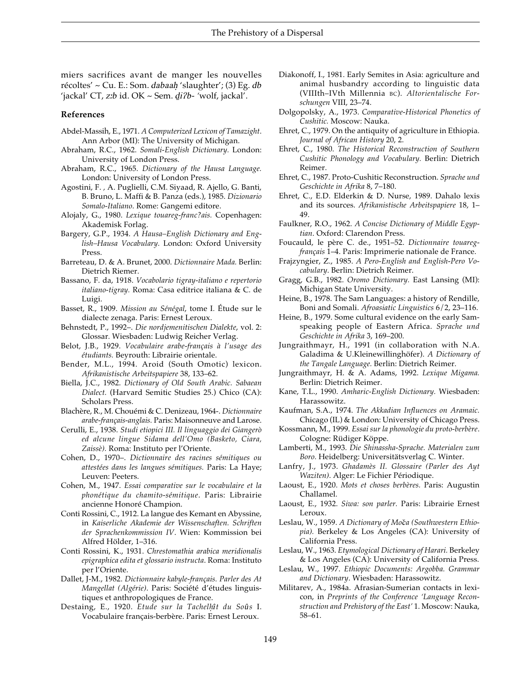miers sacrifices avant de manger les nouvelles récoltes' ~ Cu. E.: Som. *dabaah.* 'slaughter'; (3) Eg. *db* 'jackal' CT, *z*:b id. OK ~ Sem. di?b- 'wolf, jackal'.

#### **References**

- Abdel-Massih, E., 1971. *A Computerized Lexicon of Tamazight*. Ann Arbor (MI): The University of Michigan.
- Abraham, R.C., 1962. *Somali-English Dictionary.* London: University of London Press.
- Abraham, R.C., 1965. *Dictionary of the Hausa Language.* London: University of London Press.
- Agostini, F. *,* A. Puglielli, C.M. Siyaad, R. Ajello, G. Banti, B. Bruno, L. Maffi & B. Panza (eds.), 1985. *Dizionario Somalo-Italiano*. Rome: Gangemi editore.
- Alojaly, G., 1980. *Lexique touareg-franc?ais.* Copenhagen: Akademisk Forlag.
- Bargery, G.P., 1934. *A Hausa–English Dictionary and English–Hausa Vocabulary.* London: Oxford University Press.
- Barreteau, D. & A. Brunet, 2000. *Dictionnaire Mada.* Berlin: Dietrich Riemer.
- Bassano, F. da, 1918. *Vocabolario tigray-italiano e repertorio italiano-tigray.* Roma: Casa editrice italiana & C. de Luigi.
- Basset, R., 1909. *Mission au Sénégal*, tome I*.* Étude sur le dialecte zenaga. Paris: Ernest Leroux.
- Behnstedt, P., 1992–. *Die nordjemenitischen Dialekte*, vol. 2: Glossar*.* Wiesbaden: Ludwig Reicher Verlag.
- Belot, J.B., 1929. *Vocabulaire arabe-français à l'usage des étudiants.* Beyrouth: Librairie orientale.
- Bender, M.L., 1994. Aroid (South Omotic) lexicon. *Afrikanistische Arbeitspapiere* 38, 133–62.
- Biella, J.C., 1982. *Dictionary of Old South Arabic. Sabaean Dialect.* (Harvard Semitic Studies 25.) Chico (CA): Scholars Press.
- Blachère, R., M. Chouémi & C. Denizeau, 1964-. *Dictionnaire arabe-français-anglais.* Paris: Maisonneuve and Larose.
- Cerulli, E., 1938. *Studi etiopici III. Il linguaggio dei Giangerò ed alcune lingue Sidama dell'Omo (Basketo, Ciara, Zaissè).* Roma: Instituto per l'Oriente.
- Cohen, D., 1970–. *Dictionnaire des racines sémitiques ou attestées dans les langues sémitiques.* Paris: La Haye; Leuven: Peeters.
- Cohen, M., 1947. *Essai comparative sur le vocabulaire et la phonétique du chamito-sémitique*. Paris: Librairie ancienne Honoré Champion.
- Conti Rossini, C., 1912. La langue des Kemant en Abyssine, in *Kaiserliche Akademie der Wissenschaften. Schriften der Sprachenkommission IV*. Wien: Kommission bei Alfred Hölder, 1–316.
- Conti Rossini, K., 1931. *Chrestomathia arabica meridionalis epigraphica edita et glossario instructa*. Roma: Instituto per l'Oriente.
- Dallet, J-M., 1982. *Dictionnaire kabyle-français. Parler des At Mangellat (Algérie)*. Paris: Société d'études linguistiques et anthropologiques de France.
- Destaing, E., 1920. Etude sur la Tachelhît du Soûs I. Vocabulaire français-berbère. Paris: Ernest Leroux.
- Diakonoff, I., 1981. Early Semites in Asia: agriculture and animal husbandry according to linguistic data (VIIIth–IVth Millennia BC). *Altorientalische Forschungen* VIII, 23–74.
- Dolgopolsky, A., 1973. *Comparative-Historical Phonetics of Cushitic.* Moscow: Nauka.
- Ehret, C., 1979. On the antiquity of agriculture in Ethiopia. *Journal of African History* 20, 2.
- Ehret, C., 1980. *The Historical Reconstruction of Southern Cushitic Phonology and Vocabulary.* Berlin: Dietrich Reimer.
- Ehret, C., 1987. Proto-Cushitic Reconstruction. *Sprache und Geschichte in Afrika* 8, 7–180.
- Ehret, C., E.D. Elderkin & D. Nurse, 1989. Dahalo lexis and its sources. *Afrikanistische Arbeitspapiere* 18, 1– 49.
- Faulkner, R.O., 1962. *A Concise Dictionary of Middle Egyptian*. Oxford: Clarendon Press.
- Foucauld, le père C. de., 1951–52. *Dictionnaire touaregfrançais* 1–4. Paris: Imprimerie nationale de France.
- Frajzyngier, Z., 1985. *A Pero-English and English-Pero Vocabulary*. Berlin: Dietrich Reimer.
- Gragg, G.B., 1982. *Oromo Dictionary.* East Lansing (MI): Michigan State University.
- Heine, B., 1978. The Sam Languages: a history of Rendille, Boni and Somali. *Afroasiatic Linguistics* 6/2, 23–116.
- Heine, B., 1979. Some cultural evidence on the early Samspeaking people of Eastern Africa. *Sprache und Geschichte in Afrika* 3, 169–200.
- Jungraithmayr, H., 1991 (in collaboration with N.A. Galadima & U.Kleinewillinghöfer). *A Dictionary of the Tangale Language.* Berlin: Dietrich Reimer.
- Jungraithmayr, H. & A. Adams, 1992. *Lexique Migama.* Berlin: Dietrich Reimer.
- Kane, T.L., 1990. *Amharic-English Dictionary.* Wiesbaden: Harassowitz.
- Kaufman, S.A., 1974. *The Akkadian Influences on Aramaic.* Chicago (IL) & London: University of Chicago Press.
- Kossmann, M., 1999. *Essai sur la phonologie du proto-berbère*. Cologne: Rüdiger Köppe.
- Lamberti, M., 1993. *Die Shinassha-Sprache. Materialen zum Boro.* Heidelberg: Universitätsverlag C. Winter.
- Lanfry, J., 1973. *Ghadamès II. Glossaire (Parler des Ayt Waziten)*. Alger: Le Fichier Périodique.
- Laoust, E., 1920. *Mots et choses berbères.* Paris: Augustin Challamel.
- Laoust, E., 1932. *Siwa: son parler.* Paris: Librairie Ernest Leroux.
- Leslau, W., 1959. A Dictionary of Moča (Southwestern Ethio*pia).* Berkeley & Los Angeles (CA): University of California Press.
- Leslau, W., 1963. *Etymological Dictionary of Harari.* Berkeley & Los Angeles (CA): University of California Press.
- Leslau, W., 1997. *Ethiopic Documents: Argobba. Grammar and Dictionary*. Wiesbaden: Harassowitz.
- Militarev, A., 1984a. Afrasian-Sumerian contacts in lexicon, in *Preprints of the Conference 'Language Reconstruction and Prehistory of the East'* 1. Moscow: Nauka, 58–61.